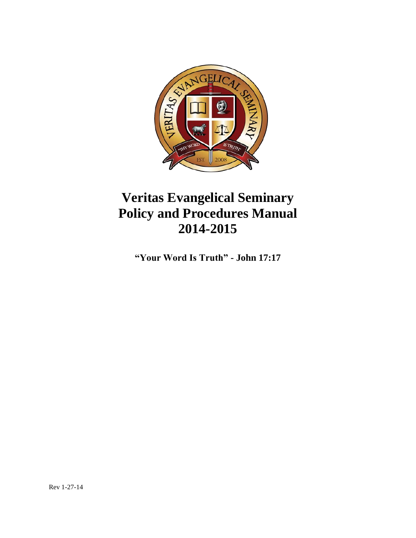

# **Veritas Evangelical Seminary Policy and Procedures Manual 2014-2015**

**"Your Word Is Truth" - John 17:17**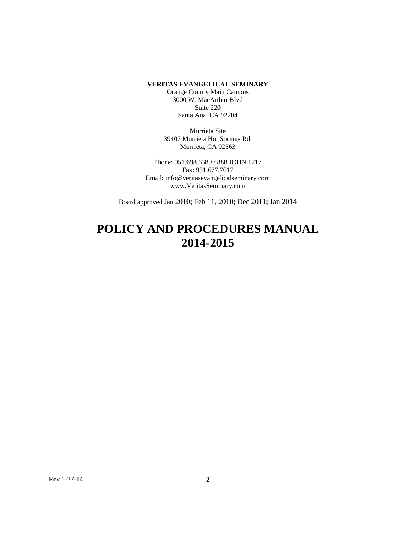#### **VERITAS EVANGELICAL SEMINARY**

Orange County Main Campus 3000 W. MacArthur Blvd Suite 220 Santa Ana, CA 92704

Murrieta Site 39407 Murrieta Hot Springs Rd. Murrieta, CA 92563

Phone: 951.698.6389 / 888.JOHN.1717 Fax: 951.677.7017 Email: info@veritasevangelicalseminary.com www.VeritasSeminary.com

Board approved Jan 2010; Feb 11, 2010; Dec 2011; Jan 2014

## **POLICY AND PROCEDURES MANUAL 2014-2015**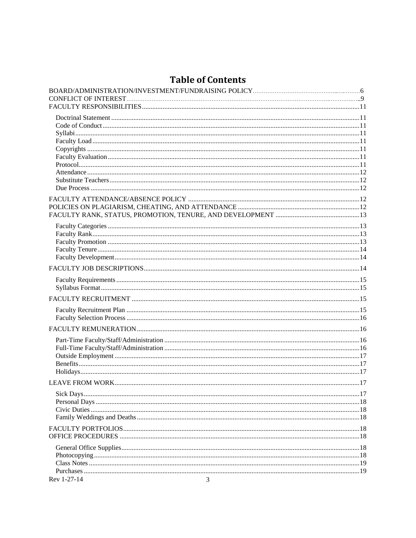## **Table of Contents**

| Rev 1-27-14<br>3 |  |
|------------------|--|
|                  |  |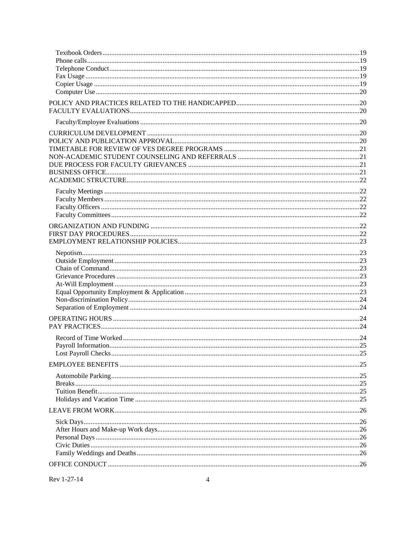Rev 1-27-14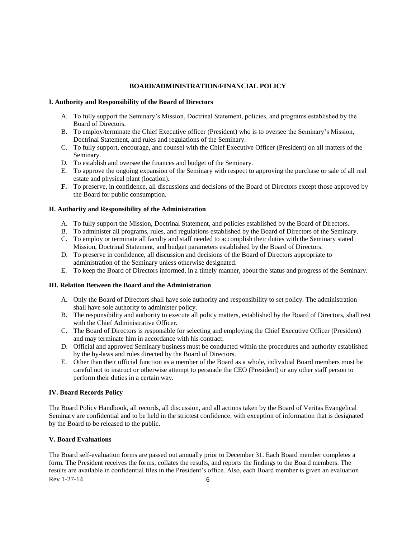## **BOARD/ADMINISTRATION/FINANCIAL POLICY**

## <span id="page-5-0"></span>**I. Authority and Responsibility of the Board of Directors**

- A. To fully support the Seminary's Mission, Doctrinal Statement, policies, and programs established by the Board of Directors.
- B. To employ/terminate the Chief Executive officer (President) who is to oversee the Seminary's Mission, Doctrinal Statement, and rules and regulations of the Seminary.
- C. To fully support, encourage, and counsel with the Chief Executive Officer (President) on all matters of the Seminary.
- D. To establish and oversee the finances and budget of the Seminary.
- E. To approve the ongoing expansion of the Seminary with respect to approving the purchase or sale of all real estate and physical plant (location).
- **F.** To preserve, in confidence, all discussions and decisions of the Board of Directors except those approved by the Board for public consumption.

## **II. Authority and Responsibility of the Administration**

- A. To fully support the Mission, Doctrinal Statement, and policies established by the Board of Directors.
- B. To administer all programs, rules, and regulations established by the Board of Directors of the Seminary.
- C. To employ or terminate all faculty and staff needed to accomplish their duties with the Seminary stated Mission, Doctrinal Statement, and budget parameters established by the Board of Directors.
- D. To preserve in confidence, all discussion and decisions of the Board of Directors appropriate to administration of the Seminary unless otherwise designated.
- E. To keep the Board of Directors informed, in a timely manner, about the status and progress of the Seminary.

## **III. Relation Between the Board and the Administration**

- A. Only the Board of Directors shall have sole authority and responsibility to set policy. The administration shall have sole authority to administer policy.
- B. The responsibility and authority to execute all policy matters, established by the Board of Directors, shall rest with the Chief Administrative Officer.
- C. The Board of Directors is responsible for selecting and employing the Chief Executive Officer (President) and may terminate him in accordance with his contract.
- D. Official and approved Seminary business must be conducted within the procedures and authority established by the by-laws and rules directed by the Board of Directors.
- E. Other than their official function as a member of the Board as a whole, individual Board members must be careful not to instruct or otherwise attempt to persuade the CEO (President) or any other staff person to perform their duties in a certain way.

## **IV. Board Records Policy**

The Board Policy Handbook, all records, all discussion, and all actions taken by the Board of Veritas Evangelical Seminary are confidential and to be held in the strictest confidence, with exception of information that is designated by the Board to be released to the public.

## **V. Board Evaluations**

 $\text{Rev } 1 - 27 - 14$  6 The Board self-evaluation forms are passed out annually prior to December 31. Each Board member completes a form. The President receives the forms, collates the results, and reports the findings to the Board members. The results are available in confidential files in the President's office. Also, each Board member is given an evaluation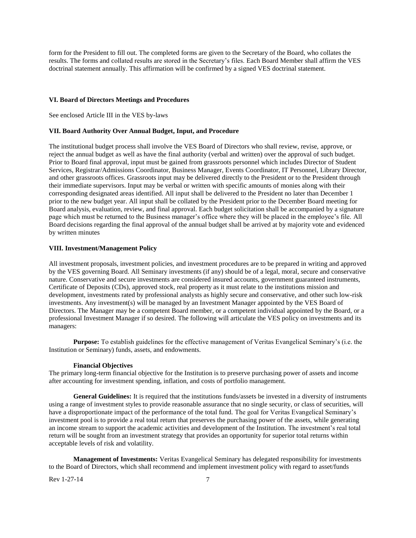form for the President to fill out. The completed forms are given to the Secretary of the Board, who collates the results. The forms and collated results are stored in the Secretary's files. Each Board Member shall affirm the VES doctrinal statement annually. This affirmation will be confirmed by a signed VES doctrinal statement.

#### **VI. Board of Directors Meetings and Procedures**

See enclosed Article III in the VES by-laws

#### **VII. Board Authority Over Annual Budget, Input, and Procedure**

The institutional budget process shall involve the VES Board of Directors who shall review, revise, approve, or reject the annual budget as well as have the final authority (verbal and written) over the approval of such budget. Prior to Board final approval, input must be gained from grassroots personnel which includes Director of Student Services, Registrar/Admissions Coordinator, Business Manager, Events Coordinator, IT Personnel, Library Director, and other grassroots offices. Grassroots input may be delivered directly to the President or to the President through their immediate supervisors. Input may be verbal or written with specific amounts of monies along with their corresponding designated areas identified. All input shall be delivered to the President no later than December 1 prior to the new budget year. All input shall be collated by the President prior to the December Board meeting for Board analysis, evaluation, review, and final approval. Each budget solicitation shall be accompanied by a signature page which must be returned to the Business manager's office where they will be placed in the employee's file. All Board decisions regarding the final approval of the annual budget shall be arrived at by majority vote and evidenced by written minutes

## **VIII. Investment/Management Policy**

All investment proposals, investment policies, and investment procedures are to be prepared in writing and approved by the VES governing Board. All Seminary investments (if any) should be of a legal, moral, secure and conservative nature. Conservative and secure investments are considered insured accounts, government guaranteed instruments, Certificate of Deposits (CDs), approved stock, real property as it must relate to the institutions mission and development, investments rated by professional analysts as highly secure and conservative, and other such low-risk investments. Any investment(s) will be managed by an Investment Manager appointed by the VES Board of Directors. The Manager may be a competent Board member, or a competent individual appointed by the Board, or a professional Investment Manager if so desired. The following will articulate the VES policy on investments and its managers:

**Purpose:** To establish guidelines for the effective management of Veritas Evangelical Seminary's (i.e. the Institution or Seminary) funds, assets, and endowments.

#### **Financial Objectives**

The primary long-term financial objective for the Institution is to preserve purchasing power of assets and income after accounting for investment spending, inflation, and costs of portfolio management.

**General Guidelines:** It is required that the institutions funds/assets be invested in a diversity of instruments using a range of investment styles to provide reasonable assurance that no single security, or class of securities, will have a disproportionate impact of the performance of the total fund. The goal for Veritas Evangelical Seminary's investment pool is to provide a real total return that preserves the purchasing power of the assets, while generating an income stream to support the academic activities and development of the Institution. The investment's real total return will be sought from an investment strategy that provides an opportunity for superior total returns within acceptable levels of risk and volatility.

**Management of Investments:** Veritas Evangelical Seminary has delegated responsibility for investments to the Board of Directors, which shall recommend and implement investment policy with regard to asset/funds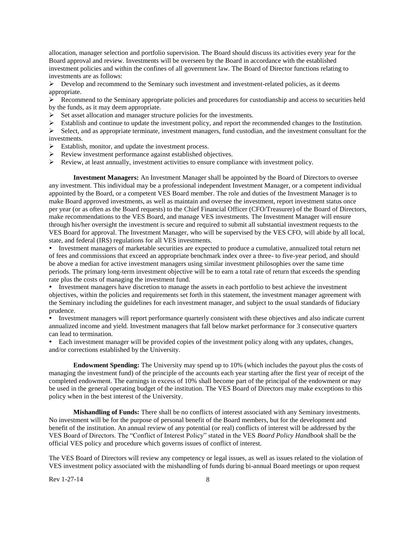allocation, manager selection and portfolio supervision. The Board should discuss its activities every year for the Board approval and review. Investments will be overseen by the Board in accordance with the established investment policies and within the confines of all government law. The Board of Director functions relating to investments are as follows:

 $\triangleright$  Develop and recommend to the Seminary such investment and investment-related policies, as it deems appropriate.

 $\triangleright$  Recommend to the Seminary appropriate policies and procedures for custodianship and access to securities held by the funds, as it may deem appropriate.

 $\triangleright$  Set asset allocation and manager structure policies for the investments.

Establish and continue to update the investment policy, and report the recommended changes to the Institution.

 $\triangleright$  Select, and as appropriate terminate, investment managers, fund custodian, and the investment consultant for the investments.

Establish, monitor, and update the investment process.

Review investment performance against established objectives.

Review, at least annually, investment activities to ensure compliance with investment policy.

**Investment Managers:** An Investment Manager shall be appointed by the Board of Directors to oversee any investment. This individual may be a professional independent Investment Manager, or a competent individual appointed by the Board, or a competent VES Board member. The role and duties of the Investment Manager is to make Board approved investments, as well as maintain and oversee the investment, report investment status once per year (or as often as the Board requests) to the Chief Financial Officer (CFO/Treasurer) of the Board of Directors, make recommendations to the VES Board, and manage VES investments. The Investment Manager will ensure through his/her oversight the investment is secure and required to submit all substantial investment requests to the VES Board for approval. The Investment Manager, who will be supervised by the VES CFO, will abide by all local, state, and federal (IRS) regulations for all VES investments.

Investment managers of marketable securities are expected to produce a cumulative, annualized total return net of fees and commissions that exceed an appropriate benchmark index over a three- to five-year period, and should be above a median for active investment managers using similar investment philosophies over the same time periods. The primary long-term investment objective will be to earn a total rate of return that exceeds the spending rate plus the costs of managing the investment fund.

Investment managers have discretion to manage the assets in each portfolio to best achieve the investment objectives, within the policies and requirements set forth in this statement, the investment manager agreement with the Seminary including the guidelines for each investment manager, and subject to the usual standards of fiduciary prudence.

Investment managers will report performance quarterly consistent with these objectives and also indicate current annualized income and yield. Investment managers that fall below market performance for 3 consecutive quarters can lead to termination.

Each investment manager will be provided copies of the investment policy along with any updates, changes, and/or corrections established by the University.

**Endowment Spending:** The University may spend up to 10% (which includes the payout plus the costs of managing the investment fund) of the principle of the accounts each year starting after the first year of receipt of the completed endowment. The earnings in excess of 10% shall become part of the principal of the endowment or may be used in the general operating budget of the institution. The VES Board of Directors may make exceptions to this policy when in the best interest of the University.

**Mishandling of Funds:** There shall be no conflicts of interest associated with any Seminary investments. No investment will be for the purpose of personal benefit of the Board members, but for the development and benefit of the institution. An annual review of any potential (or real) conflicts of interest will be addressed by the VES Board of Directors. The "Conflict of Interest Policy" stated in the VES *Board Policy Handbook* shall be the official VES policy and procedure which governs issues of conflict of interest.

The VES Board of Directors will review any competency or legal issues, as well as issues related to the violation of VES investment policy associated with the mishandling of funds during bi-annual Board meetings or upon request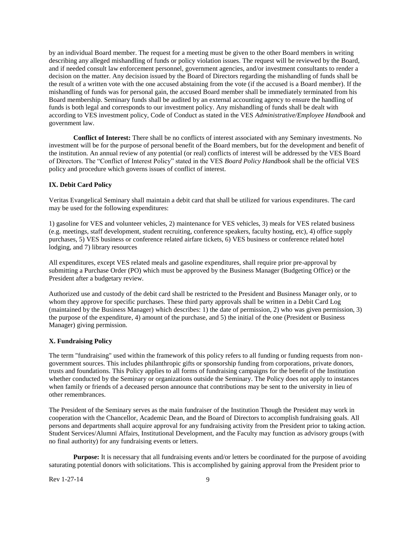by an individual Board member. The request for a meeting must be given to the other Board members in writing describing any alleged mishandling of funds or policy violation issues. The request will be reviewed by the Board, and if needed consult law enforcement personnel, government agencies, and/or investment consultants to render a decision on the matter. Any decision issued by the Board of Directors regarding the mishandling of funds shall be the result of a written vote with the one accused abstaining from the vote (if the accused is a Board member). If the mishandling of funds was for personal gain, the accused Board member shall be immediately terminated from his Board membership. Seminary funds shall be audited by an external accounting agency to ensure the handling of funds is both legal and corresponds to our investment policy. Any mishandling of funds shall be dealt with according to VES investment policy, Code of Conduct as stated in the VES *Administrative/Employee Handbook* and government law.

**Conflict of Interest:** There shall be no conflicts of interest associated with any Seminary investments. No investment will be for the purpose of personal benefit of the Board members, but for the development and benefit of the institution. An annual review of any potential (or real) conflicts of interest will be addressed by the VES Board of Directors. The "Conflict of Interest Policy" stated in the VES *Board Policy Handbook* shall be the official VES policy and procedure which governs issues of conflict of interest.

#### **IX. Debit Card Policy**

Veritas Evangelical Seminary shall maintain a debit card that shall be utilized for various expenditures. The card may be used for the following expenditures:

1) gasoline for VES and volunteer vehicles, 2) maintenance for VES vehicles, 3) meals for VES related business (e.g. meetings, staff development, student recruiting, conference speakers, faculty hosting, etc), 4) office supply purchases, 5) VES business or conference related airfare tickets, 6) VES business or conference related hotel lodging, and 7) library resources

All expenditures, except VES related meals and gasoline expenditures, shall require prior pre-approval by submitting a Purchase Order (PO) which must be approved by the Business Manager (Budgeting Office) or the President after a budgetary review.

Authorized use and custody of the debit card shall be restricted to the President and Business Manager only, or to whom they approve for specific purchases. These third party approvals shall be written in a Debit Card Log (maintained by the Business Manager) which describes: 1) the date of permission, 2) who was given permission, 3) the purpose of the expenditure, 4) amount of the purchase, and 5) the initial of the one (President or Business Manager) giving permission.

## **X. Fundraising Policy**

The term "fundraising" used within the framework of this policy refers to all funding or funding requests from nongovernment sources. This includes philanthropic gifts or sponsorship funding from corporations, private donors, trusts and foundations. This Policy applies to all forms of fundraising campaigns for the benefit of the Institution whether conducted by the Seminary or organizations outside the Seminary. The Policy does not apply to instances when family or friends of a deceased person announce that contributions may be sent to the university in lieu of other remembrances.

The President of the Seminary serves as the main fundraiser of the Institution Though the President may work in cooperation with the Chancellor, Academic Dean, and the Board of Directors to accomplish fundraising goals. All persons and departments shall acquire approval for any fundraising activity from the President prior to taking action. Student Services/Alumni Affairs, Institutional Development, and the Faculty may function as advisory groups (with no final authority) for any fundraising events or letters.

**Purpose:** It is necessary that all fundraising events and/or letters be coordinated for the purpose of avoiding saturating potential donors with solicitations. This is accomplished by gaining approval from the President prior to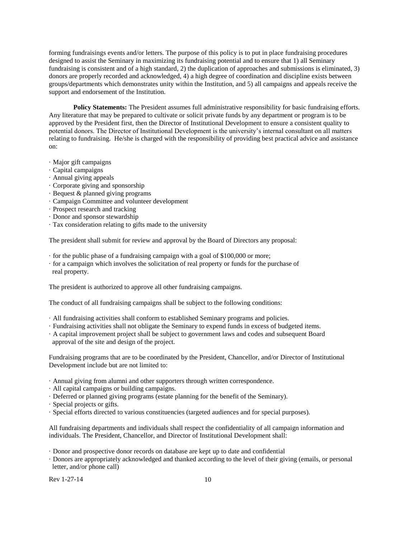forming fundraisings events and/or letters. The purpose of this policy is to put in place fundraising procedures designed to assist the Seminary in maximizing its fundraising potential and to ensure that 1) all Seminary fundraising is consistent and of a high standard, 2) the duplication of approaches and submissions is eliminated, 3) donors are properly recorded and acknowledged, 4) a high degree of coordination and discipline exists between groups/departments which demonstrates unity within the Institution, and 5) all campaigns and appeals receive the support and endorsement of the Institution.

**Policy Statements:** The President assumes full administrative responsibility for basic fundraising efforts. Any literature that may be prepared to cultivate or solicit private funds by any department or program is to be approved by the President first, then the Director of Institutional Development to ensure a consistent quality to potential donors. The Director of Institutional Development is the university's internal consultant on all matters relating to fundraising. He/she is charged with the responsibility of providing best practical advice and assistance on:

- · Major gift campaigns
- · Capital campaigns
- · Annual giving appeals
- · Corporate giving and sponsorship
- · Bequest & planned giving programs
- · Campaign Committee and volunteer development
- · Prospect research and tracking
- · Donor and sponsor stewardship
- · Tax consideration relating to gifts made to the university

The president shall submit for review and approval by the Board of Directors any proposal:

- · for the public phase of a fundraising campaign with a goal of \$100,000 or more;
- · for a campaign which involves the solicitation of real property or funds for the purchase of real property.

The president is authorized to approve all other fundraising campaigns.

The conduct of all fundraising campaigns shall be subject to the following conditions:

- · All fundraising activities shall conform to established Seminary programs and policies.
- · Fundraising activities shall not obligate the Seminary to expend funds in excess of budgeted items.
- · A capital improvement project shall be subject to government laws and codes and subsequent Board approval of the site and design of the project.

Fundraising programs that are to be coordinated by the President, Chancellor, and/or Director of Institutional Development include but are not limited to:

· Annual giving from alumni and other supporters through written correspondence.

- · All capital campaigns or building campaigns.
- · Deferred or planned giving programs (estate planning for the benefit of the Seminary).
- · Special projects or gifts.
- · Special efforts directed to various constituencies (targeted audiences and for special purposes).

All fundraising departments and individuals shall respect the confidentiality of all campaign information and individuals. The President, Chancellor, and Director of Institutional Development shall:

- · Donor and prospective donor records on database are kept up to date and confidential
- · Donors are appropriately acknowledged and thanked according to the level of their giving (emails, or personal letter, and/or phone call)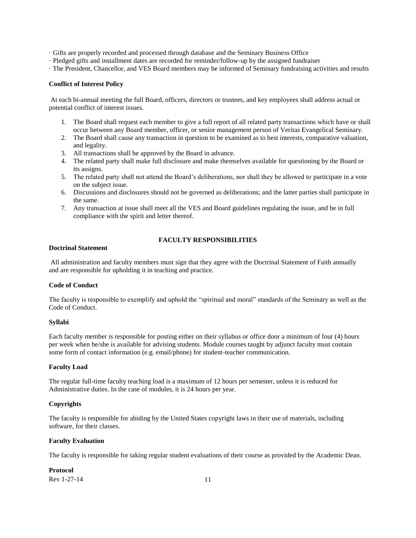· Gifts are properly recorded and processed through database and the Seminary Business Office

· Pledged gifts and installment dates are recorded for reminder/follow-up by the assigned fundraiser

· The President, Chancellor, and VES Board members may be informed of Seminary fundraising activities and results

#### **Conflict of Interest Policy**

At each bi-annual meeting the full Board, officers, directors or trustees, and key employees shall address actual or potential conflict of interest issues.

- 1. The Board shall request each member to give a full report of all related party transactions which have or shall occur between any Board member, officer, or senior management person of Veritas Evangelical Seminary.
- 2. The Board shall cause any transaction in question to be examined as to best interests, comparative valuation, and legality.
- 3. All transactions shall be approved by the Board in advance.
- 4. The related party shall make full disclosure and make themselves available for questioning by the Board or its assigns.
- 5. The related party shall not attend the Board's deliberations, nor shall they be allowed to participate in a vote on the subject issue.
- 6. Discussions and disclosures should not be governed as deliberations; and the latter parties shall participate in the same.
- 7. Any transaction at issue shall meet all the VES and Board guidelines regulating the issue, and be in full compliance with the spirit and letter thereof.

#### <span id="page-10-1"></span>**Doctrinal Statement**

## <span id="page-10-0"></span>**FACULTY RESPONSIBILITIES**

All administration and faculty members must sign that they agree with the Doctrinal Statement of Faith annually and are responsible for upholding it in teaching and practice.

## <span id="page-10-2"></span>**Code of Conduct**

The faculty is responsible to exemplify and uphold the "spiritual and moral" standards of the Seminary as well as the Code of Conduct.

#### <span id="page-10-3"></span>**Syllabi**

Each faculty member is responsible for posting either on their syllabus or office door a minimum of four (4) hours per week when he/she is available for advising students. Module courses taught by adjunct faculty must contain some form of contact information (e.g. email/phone) for student-teacher communication.

#### <span id="page-10-4"></span>**Faculty Load**

The regular full-time faculty teaching load is a maximum of 12 hours per semester, unless it is reduced for Administrative duties. In the case of modules, it is 24 hours per year.

## <span id="page-10-5"></span>**Copyrights**

The faculty is responsible for abiding by the United States copyright laws in their use of materials, including software, for their classes.

## <span id="page-10-6"></span>**Faculty Evaluation**

The faculty is responsible for taking regular student evaluations of their course as provided by the Academic Dean.

<span id="page-10-7"></span>**Protocol**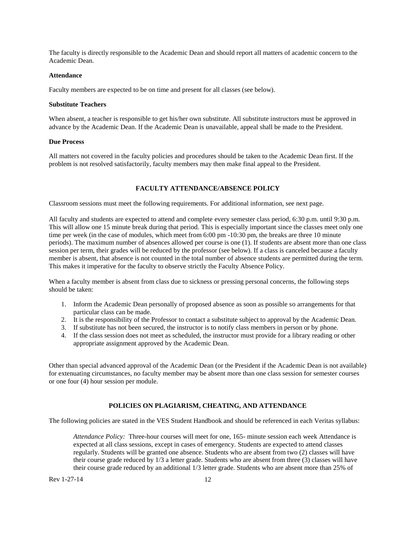The faculty is directly responsible to the Academic Dean and should report all matters of academic concern to the Academic Dean.

#### <span id="page-11-0"></span>**Attendance**

Faculty members are expected to be on time and present for all classes (see below).

## <span id="page-11-1"></span>**Substitute Teachers**

When absent, a teacher is responsible to get his/her own substitute. All substitute instructors must be approved in advance by the Academic Dean. If the Academic Dean is unavailable, appeal shall be made to the President.

#### <span id="page-11-2"></span>**Due Process**

<span id="page-11-3"></span>All matters not covered in the faculty policies and procedures should be taken to the Academic Dean first. If the problem is not resolved satisfactorily, faculty members may then make final appeal to the President.

## **FACULTY ATTENDANCE/ABSENCE POLICY**

Classroom sessions must meet the following requirements. For additional information, see next page.

All faculty and students are expected to attend and complete every semester class period, 6:30 p.m. until 9:30 p.m. This will allow one 15 minute break during that period. This is especially important since the classes meet only one time per week (in the case of modules, which meet from 6:00 pm -10:30 pm, the breaks are three 10 minute periods). The maximum number of absences allowed per course is one (1). If students are absent more than one class session per term, their grades will be reduced by the professor (see below). If a class is canceled because a faculty member is absent, that absence is not counted in the total number of absence students are permitted during the term. This makes it imperative for the faculty to observe strictly the Faculty Absence Policy.

When a faculty member is absent from class due to sickness or pressing personal concerns, the following steps should be taken:

- 1. Inform the Academic Dean personally of proposed absence as soon as possible so arrangements for that particular class can be made.
- 2. It is the responsibility of the Professor to contact a substitute subject to approval by the Academic Dean.
- 3. If substitute has not been secured, the instructor is to notify class members in person or by phone.
- 4. If the class session does not meet as scheduled, the instructor must provide for a library reading or other appropriate assignment approved by the Academic Dean.

Other than special advanced approval of the Academic Dean (or the President if the Academic Dean is not available) for extenuating circumstances, no faculty member may be absent more than one class session for semester courses or one four (4) hour session per module.

#### **POLICIES ON PLAGIARISM, CHEATING, AND ATTENDANCE**

<span id="page-11-4"></span>The following policies are stated in the VES Student Handbook and should be referenced in each Veritas syllabus:

*Attendance Policy:* Three-hour courses will meet for one, 165- minute session each week Attendance is expected at all class sessions, except in cases of emergency. Students are expected to attend classes regularly. Students will be granted one absence. Students who are absent from two (2) classes will have their course grade reduced by 1/3 a letter grade. Students who are absent from three (3) classes will have their course grade reduced by an additional 1/3 letter grade. Students who are absent more than 25% of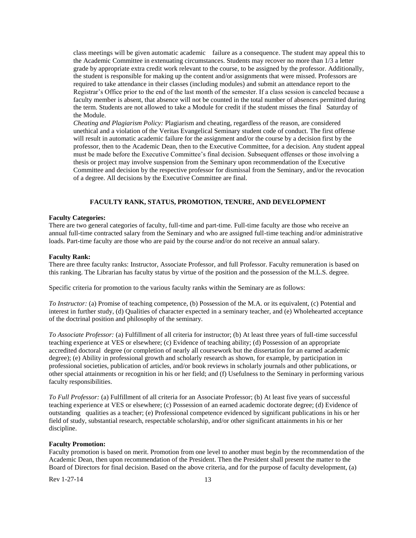class meetings will be given automatic academic failure as a consequence. The student may appeal this to the Academic Committee in extenuating circumstances. Students may recover no more than 1/3 a letter grade by appropriate extra credit work relevant to the course, to be assigned by the professor. Additionally, the student is responsible for making up the content and/or assignments that were missed. Professors are required to take attendance in their classes (including modules) and submit an attendance report to the Registrar's Office prior to the end of the last month of the semester. If a class session is canceled because a faculty member is absent, that absence will not be counted in the total number of absences permitted during the term. Students are not allowed to take a Module for credit if the student misses the final Saturday of the Module.

*Cheating and Plagiarism Policy:* Plagiarism and cheating, regardless of the reason, are considered unethical and a violation of the Veritas Evangelical Seminary student code of conduct. The first offense will result in automatic academic failure for the assignment and/or the course by a decision first by the professor, then to the Academic Dean, then to the Executive Committee, for a decision. Any student appeal must be made before the Executive Committee's final decision. Subsequent offenses or those involving a thesis or project may involve suspension from the Seminary upon recommendation of the Executive Committee and decision by the respective professor for dismissal from the Seminary, and/or the revocation of a degree. All decisions by the Executive Committee are final.

## **FACULTY RANK, STATUS, PROMOTION, TENURE, AND DEVELOPMENT**

#### <span id="page-12-1"></span><span id="page-12-0"></span>**Faculty Categories:**

There are two general categories of faculty, full-time and part-time. Full-time faculty are those who receive an annual full-time contracted salary from the Seminary and who are assigned full-time teaching and/or administrative loads. Part-time faculty are those who are paid by the course and/or do not receive an annual salary.

#### <span id="page-12-2"></span>**Faculty Rank:**

There are three faculty ranks: Instructor, Associate Professor, and full Professor. Faculty remuneration is based on this ranking. The Librarian has faculty status by virtue of the position and the possession of the M.L.S. degree.

Specific criteria for promotion to the various faculty ranks within the Seminary are as follows:

*To Instructor:* (a) Promise of teaching competence, (b) Possession of the M.A. or its equivalent, (c) Potential and interest in further study, (d) Qualities of character expected in a seminary teacher, and (e) Wholehearted acceptance of the doctrinal position and philosophy of the seminary.

*To Associate Professor:* (a) Fulfillment of all criteria for instructor; (b) At least three years of full-time successful teaching experience at VES or elsewhere; (c) Evidence of teaching ability; (d) Possession of an appropriate accredited doctoral degree (or completion of nearly all coursework but the dissertation for an earned academic degree); (e) Ability in professional growth and scholarly research as shown, for example, by participation in professional societies, publication of articles, and/or book reviews in scholarly journals and other publications, or other special attainments or recognition in his or her field; and (f) Usefulness to the Seminary in performing various faculty responsibilities.

*To Full Professor:* (a) Fulfillment of all criteria for an Associate Professor; (b) At least five years of successful teaching experience at VES or elsewhere; (c) Possession of an earned academic doctorate degree; (d) Evidence of outstanding qualities as a teacher; (e) Professional competence evidenced by significant publications in his or her field of study, substantial research, respectable scholarship, and/or other significant attainments in his or her discipline.

#### <span id="page-12-3"></span>**Faculty Promotion:**

Faculty promotion is based on merit. Promotion from one level to another must begin by the recommendation of the Academic Dean, then upon recommendation of the President. Then the President shall present the matter to the Board of Directors for final decision. Based on the above criteria, and for the purpose of faculty development, (a)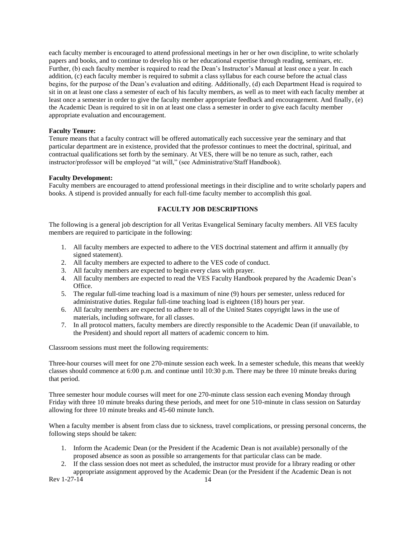each faculty member is encouraged to attend professional meetings in her or her own discipline, to write scholarly papers and books, and to continue to develop his or her educational expertise through reading, seminars, etc. Further, (b) each faculty member is required to read the Dean's Instructor's Manual at least once a year. In each addition, (c) each faculty member is required to submit a class syllabus for each course before the actual class begins, for the purpose of the Dean's evaluation and editing. Additionally, (d) each Department Head is required to sit in on at least one class a semester of each of his faculty members, as well as to meet with each faculty member at least once a semester in order to give the faculty member appropriate feedback and encouragement. And finally, (e) the Academic Dean is required to sit in on at least one class a semester in order to give each faculty member appropriate evaluation and encouragement.

## <span id="page-13-0"></span>**Faculty Tenure:**

Tenure means that a faculty contract will be offered automatically each successive year the seminary and that particular department are in existence, provided that the professor continues to meet the doctrinal, spiritual, and contractual qualifications set forth by the seminary. At VES, there will be no tenure as such, rather, each instructor/professor will be employed "at will," (see Administrative/Staff Handbook).

## <span id="page-13-1"></span>**Faculty Development:**

<span id="page-13-2"></span>Faculty members are encouraged to attend professional meetings in their discipline and to write scholarly papers and books. A stipend is provided annually for each full-time faculty member to accomplish this goal.

## **FACULTY JOB DESCRIPTIONS**

The following is a general job description for all Veritas Evangelical Seminary faculty members. All VES faculty members are required to participate in the following:

- 1. All faculty members are expected to adhere to the VES doctrinal statement and affirm it annually (by signed statement).
- 2. All faculty members are expected to adhere to the VES code of conduct.
- 3. All faculty members are expected to begin every class with prayer.
- 4. All faculty members are expected to read the VES Faculty Handbook prepared by the Academic Dean's Office.
- 5. The regular full-time teaching load is a maximum of nine (9) hours per semester, unless reduced for administrative duties. Regular full-time teaching load is eighteen (18) hours per year.
- 6. All faculty members are expected to adhere to all of the United States copyright laws in the use of materials, including software, for all classes.
- 7. In all protocol matters, faculty members are directly responsible to the Academic Dean (if unavailable, to the President) and should report all matters of academic concern to him.

Classroom sessions must meet the following requirements:

Three-hour courses will meet for one 270-minute session each week. In a semester schedule, this means that weekly classes should commence at 6:00 p.m. and continue until 10:30 p.m. There may be three 10 minute breaks during that period.

Three semester hour module courses will meet for one 270-minute class session each evening Monday through Friday with three 10 minute breaks during these periods, and meet for one 510-minute in class session on Saturday allowing for three 10 minute breaks and 45-60 minute lunch.

When a faculty member is absent from class due to sickness, travel complications, or pressing personal concerns, the following steps should be taken:

- 1. Inform the Academic Dean (or the President if the Academic Dean is not available) personally of the proposed absence as soon as possible so arrangements for that particular class can be made.
- 2. If the class session does not meet as scheduled, the instructor must provide for a library reading or other appropriate assignment approved by the Academic Dean (or the President if the Academic Dean is not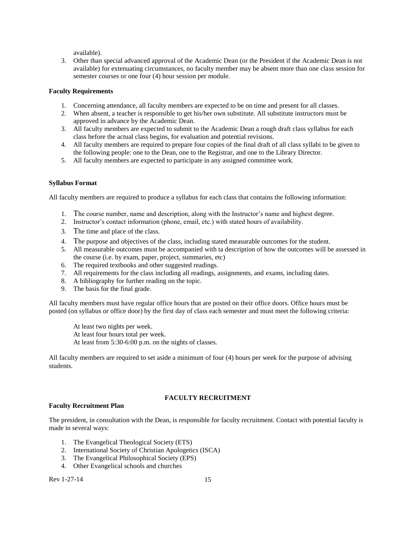available).

3. Other than special advanced approval of the Academic Dean (or the President if the Academic Dean is not available) for extenuating circumstances, no faculty member may be absent more than one class session for semester courses or one four (4) hour session per module.

#### <span id="page-14-0"></span>**Faculty Requirements**

- 1. Concerning attendance, all faculty members are expected to be on time and present for all classes.
- 2. When absent, a teacher is responsible to get his/her own substitute. All substitute instructors must be approved in advance by the Academic Dean.
- 3. All faculty members are expected to submit to the Academic Dean a rough draft class syllabus for each class before the actual class begins, for evaluation and potential revisions.
- 4. All faculty members are required to prepare four copies of the final draft of all class syllabi to be given to the following people: one to the Dean, one to the Registrar, and one to the Library Director.
- 5. All faculty members are expected to participate in any assigned committee work.

## <span id="page-14-1"></span>**Syllabus Format**

All faculty members are required to produce a syllabus for each class that contains the following information:

- 1. The course number, name and description, along with the Instructor's name and highest degree.
- 2. Instructor's contact information (phone, email, etc.) with stated hours of availability.
- 3. The time and place of the class.
- 4. The purpose and objectives of the class, including stated measurable outcomes for the student.
- 5. All measurable outcomes must be accompanied with ta description of how the outcomes will be assessed in the course (i.e. by exam, paper, project, summaries, etc)
- 6. The required textbooks and other suggested readings.
- 7. All requirements for the class including all readings, assignments, and exams, including dates.
- 8. A bibliography for further reading on the topic.
- 9. The basis for the final grade.

All faculty members must have regular office hours that are posted on their office doors. Office hours must be posted (on syllabus or office door) by the first day of class each semester and must meet the following criteria:

At least two nights per week.

At least four hours total per week.

At least from 5:30-6:00 p.m. on the nights of classes.

<span id="page-14-2"></span>All faculty members are required to set aside a minimum of four (4) hours per week for the purpose of advising students.

## **FACULTY RECRUITMENT**

## <span id="page-14-3"></span>**Faculty Recruitment Plan**

The president, in consultation with the Dean, is responsible for faculty recruitment. Contact with potential faculty is made in several ways:

- 1. The Evangelical Theological Society (ETS)
- 2. International Society of Christian Apologetics (ISCA)
- 3. The Evangelical Philosophical Society (EPS)
- 4. Other Evangelical schools and churches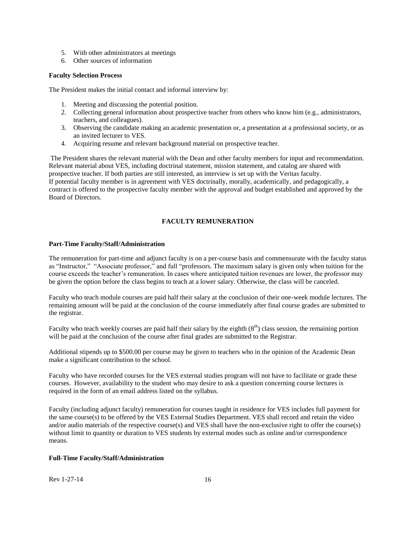- 5. With other administrators at meetings
- 6. Other sources of information

#### <span id="page-15-0"></span>**Faculty Selection Process**

The President makes the initial contact and informal interview by:

- 1. Meeting and discussing the potential position.
- 2. Collecting general information about prospective teacher from others who know him (e.g., administrators, teachers, and colleagues).
- 3. Observing the candidate making an academic presentation or, a presentation at a professional society, or as an invited lecturer to VES.
- 4. Acquiring resume and relevant background material on prospective teacher.

The President shares the relevant material with the Dean and other faculty members for input and recommendation. Relevant material about VES, including doctrinal statement, mission statement, and catalog are shared with prospective teacher. If both parties are still interested, an interview is set up with the Veritas faculty. If potential faculty member is in agreement with VES doctrinally, morally, academically, and pedagogically, a contract is offered to the prospective faculty member with the approval and budget established and approved by the Board of Directors.

## **FACULTY REMUNERATION**

#### <span id="page-15-2"></span><span id="page-15-1"></span>**Part-Time Faculty/Staff/Administration**

The remuneration for part-time and adjunct faculty is on a per-course basis and commensurate with the faculty status as "Instructor," "Associate professor," and full "professors. The maximum salary is given only when tuition for the course exceeds the teacher's remuneration. In cases where anticipated tuition revenues are lower, the professor may be given the option before the class begins to teach at a lower salary. Otherwise, the class will be canceled.

Faculty who teach module courses are paid half their salary at the conclusion of their one-week module lectures. The remaining amount will be paid at the conclusion of the course immediately after final course grades are submitted to the registrar.

Faculty who teach weekly courses are paid half their salary by the eighth  $(8<sup>th</sup>)$  class session, the remaining portion will be paid at the conclusion of the course after final grades are submitted to the Registrar.

Additional stipends up to \$500.00 per course may be given to teachers who in the opinion of the Academic Dean make a significant contribution to the school.

Faculty who have recorded courses for the VES external studies program will not have to facilitate or grade these courses. However, availability to the student who may desire to ask a question concerning course lectures is required in the form of an email address listed on the syllabus.

Faculty (including adjunct faculty) remuneration for courses taught in residence for VES includes full payment for the same course(s) to be offered by the VES External Studies Department. VES shall record and retain the video and/or audio materials of the respective course(s) and VES shall have the non-exclusive right to offer the course(s) without limit to quantity or duration to VES students by external modes such as online and/or correspondence means.

## <span id="page-15-3"></span>**Full-Time Faculty/Staff/Administration**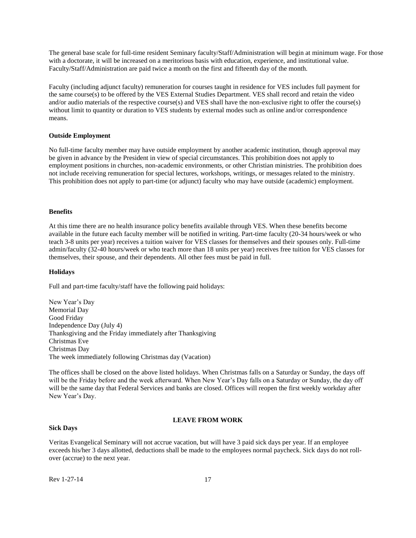The general base scale for full-time resident Seminary faculty/Staff/Administration will begin at minimum wage. For those with a doctorate, it will be increased on a meritorious basis with education, experience, and institutional value. Faculty/Staff/Administration are paid twice a month on the first and fifteenth day of the month.

Faculty (including adjunct faculty) remuneration for courses taught in residence for VES includes full payment for the same course(s) to be offered by the VES External Studies Department. VES shall record and retain the video and/or audio materials of the respective course(s) and VES shall have the non-exclusive right to offer the course(s) without limit to quantity or duration to VES students by external modes such as online and/or correspondence means.

#### <span id="page-16-0"></span>**Outside Employment**

No full-time faculty member may have outside employment by another academic institution, though approval may be given in advance by the President in view of special circumstances. This prohibition does not apply to employment positions in churches, non-academic environments, or other Christian ministries. The prohibition does not include receiving remuneration for special lectures, workshops, writings, or messages related to the ministry. This prohibition does not apply to part-time (or adjunct) faculty who may have outside (academic) employment.

#### <span id="page-16-1"></span>**Benefits**

At this time there are no health insurance policy benefits available through VES. When these benefits become available in the future each faculty member will be notified in writing. Part-time faculty (20-34 hours/week or who teach 3-8 units per year) receives a tuition waiver for VES classes for themselves and their spouses only. Full-time admin/faculty (32-40 hours/week or who teach more than 18 units per year) receives free tuition for VES classes for themselves, their spouse, and their dependents. All other fees must be paid in full.

#### <span id="page-16-2"></span>**Holidays**

Full and part-time faculty/staff have the following paid holidays:

New Year's Day Memorial Day Good Friday Independence Day (July 4) Thanksgiving and the Friday immediately after Thanksgiving Christmas Eve Christmas Day The week immediately following Christmas day (Vacation)

The offices shall be closed on the above listed holidays. When Christmas falls on a Saturday or Sunday, the days off will be the Friday before and the week afterward. When New Year's Day falls on a Saturday or Sunday, the day off will be the same day that Federal Services and banks are closed. Offices will reopen the first weekly workday after New Year's Day.

## **LEAVE FROM WORK**

#### <span id="page-16-4"></span><span id="page-16-3"></span>**Sick Days**

Veritas Evangelical Seminary will not accrue vacation, but will have 3 paid sick days per year. If an employee exceeds his/her 3 days allotted, deductions shall be made to the employees normal paycheck. Sick days do not rollover (accrue) to the next year.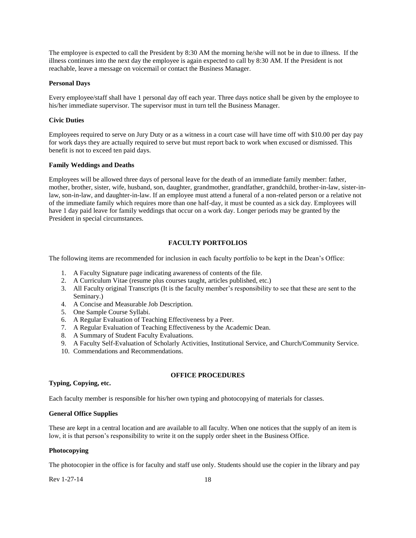The employee is expected to call the President by 8:30 AM the morning he/she will not be in due to illness. If the illness continues into the next day the employee is again expected to call by 8:30 AM. If the President is not reachable, leave a message on voicemail or contact the Business Manager.

## <span id="page-17-0"></span>**Personal Days**

Every employee/staff shall have 1 personal day off each year. Three days notice shall be given by the employee to his/her immediate supervisor. The supervisor must in turn tell the Business Manager.

## <span id="page-17-1"></span>**Civic Duties**

Employees required to serve on Jury Duty or as a witness in a court case will have time off with \$10.00 per day pay for work days they are actually required to serve but must report back to work when excused or dismissed. This benefit is not to exceed ten paid days.

## <span id="page-17-2"></span>**Family Weddings and Deaths**

Employees will be allowed three days of personal leave for the death of an immediate family member: father, mother, brother, sister, wife, husband, son, daughter, grandmother, grandfather, grandchild, brother-in-law, sister-inlaw, son-in-law, and daughter-in-law. If an employee must attend a funeral of a non-related person or a relative not of the immediate family which requires more than one half-day, it must be counted as a sick day. Employees will have 1 day paid leave for family weddings that occur on a work day. Longer periods may be granted by the President in special circumstances.

## **FACULTY PORTFOLIOS**

<span id="page-17-3"></span>The following items are recommended for inclusion in each faculty portfolio to be kept in the Dean's Office:

- 1. A Faculty Signature page indicating awareness of contents of the file.
- 2. A Curriculum Vitae (resume plus courses taught, articles published, etc.)
- 3. All Faculty original Transcripts (It is the faculty member's responsibility to see that these are sent to the Seminary.)
- 4. A Concise and Measurable Job Description.
- 5. One Sample Course Syllabi.
- 6. A Regular Evaluation of Teaching Effectiveness by a Peer.
- 7. A Regular Evaluation of Teaching Effectiveness by the Academic Dean.
- 8. A Summary of Student Faculty Evaluations.
- 9. A Faculty Self-Evaluation of Scholarly Activities, Institutional Service, and Church/Community Service.
- 10. Commendations and Recommendations.

## **OFFICE PROCEDURES**

## <span id="page-17-4"></span>**Typing, Copying, etc.**

Each faculty member is responsible for his/her own typing and photocopying of materials for classes.

## <span id="page-17-5"></span>**General Office Supplies**

These are kept in a central location and are available to all faculty. When one notices that the supply of an item is low, it is that person's responsibility to write it on the supply order sheet in the Business Office.

## <span id="page-17-6"></span>**Photocopying**

The photocopier in the office is for faculty and staff use only. Students should use the copier in the library and pay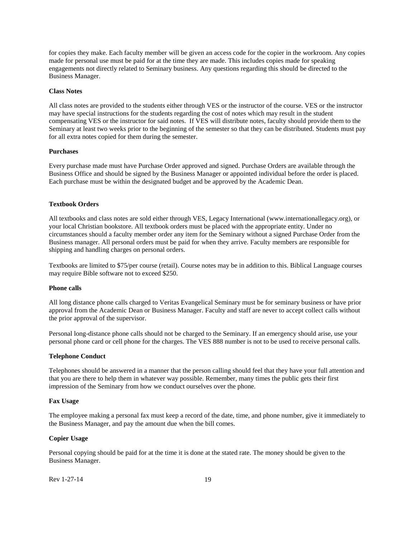for copies they make. Each faculty member will be given an access code for the copier in the workroom. Any copies made for personal use must be paid for at the time they are made. This includes copies made for speaking engagements not directly related to Seminary business. Any questions regarding this should be directed to the Business Manager.

#### <span id="page-18-0"></span>**Class Notes**

All class notes are provided to the students either through VES or the instructor of the course. VES or the instructor may have special instructions for the students regarding the cost of notes which may result in the student compensating VES or the instructor for said notes. If VES will distribute notes, faculty should provide them to the Seminary at least two weeks prior to the beginning of the semester so that they can be distributed. Students must pay for all extra notes copied for them during the semester.

## <span id="page-18-1"></span>**Purchases**

Every purchase made must have Purchase Order approved and signed. Purchase Orders are available through the Business Office and should be signed by the Business Manager or appointed individual before the order is placed. Each purchase must be within the designated budget and be approved by the Academic Dean.

#### <span id="page-18-2"></span>**Textbook Orders**

All textbooks and class notes are sold either through VES, Legacy International (www.internationallegacy.org), or your local Christian bookstore. All textbook orders must be placed with the appropriate entity. Under no circumstances should a faculty member order any item for the Seminary without a signed Purchase Order from the Business manager. All personal orders must be paid for when they arrive. Faculty members are responsible for shipping and handling charges on personal orders.

Textbooks are limited to \$75/per course (retail). Course notes may be in addition to this. Biblical Language courses may require Bible software not to exceed \$250.

## <span id="page-18-3"></span>**Phone calls**

All long distance phone calls charged to Veritas Evangelical Seminary must be for seminary business or have prior approval from the Academic Dean or Business Manager. Faculty and staff are never to accept collect calls without the prior approval of the supervisor.

Personal long-distance phone calls should not be charged to the Seminary. If an emergency should arise, use your personal phone card or cell phone for the charges. The VES 888 number is not to be used to receive personal calls.

#### <span id="page-18-4"></span>**Telephone Conduct**

Telephones should be answered in a manner that the person calling should feel that they have your full attention and that you are there to help them in whatever way possible. Remember, many times the public gets their first impression of the Seminary from how we conduct ourselves over the phone.

#### <span id="page-18-5"></span>**Fax Usage**

The employee making a personal fax must keep a record of the date, time, and phone number, give it immediately to the Business Manager, and pay the amount due when the bill comes.

#### <span id="page-18-6"></span>**Copier Usage**

Personal copying should be paid for at the time it is done at the stated rate. The money should be given to the Business Manager.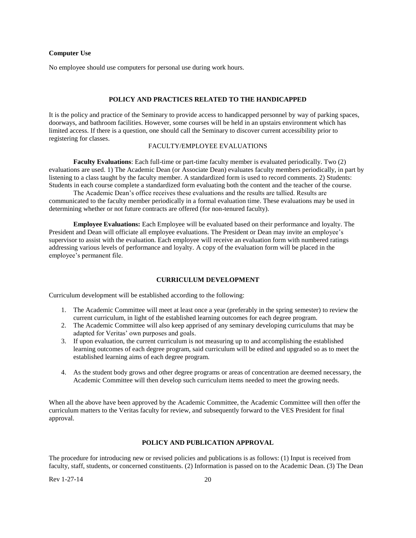#### <span id="page-19-0"></span>**Computer Use**

<span id="page-19-1"></span>No employee should use computers for personal use during work hours.

## <span id="page-19-2"></span>**POLICY AND PRACTICES RELATED TO THE HANDICAPPED**

It is the policy and practice of the Seminary to provide access to handicapped personnel by way of parking spaces, doorways, and bathroom facilities. However, some courses will be held in an upstairs environment which has limited access. If there is a question, one should call the Seminary to discover current accessibility prior to registering for classes.

## <span id="page-19-3"></span>FACULTY/EMPLOYEE EVALUATIONS

**Faculty Evaluations**: Each full-time or part-time faculty member is evaluated periodically. Two (2) evaluations are used. 1) The Academic Dean (or Associate Dean) evaluates faculty members periodically, in part by listening to a class taught by the faculty member. A standardized form is used to record comments. 2) Students: Students in each course complete a standardized form evaluating both the content and the teacher of the course.

The Academic Dean's office receives these evaluations and the results are tallied. Results are communicated to the faculty member periodically in a formal evaluation time. These evaluations may be used in determining whether or not future contracts are offered (for non-tenured faculty).

**Employee Evaluations:** Each Employee will be evaluated based on their performance and loyalty. The President and Dean will officiate all employee evaluations. The President or Dean may invite an employee's supervisor to assist with the evaluation. Each employee will receive an evaluation form with numbered ratings addressing various levels of performance and loyalty. A copy of the evaluation form will be placed in the employee's permanent file.

## **CURRICULUM DEVELOPMENT**

<span id="page-19-4"></span>Curriculum development will be established according to the following:

- 1. The Academic Committee will meet at least once a year (preferably in the spring semester) to review the current curriculum, in light of the established learning outcomes for each degree program.
- 2. The Academic Committee will also keep apprised of any seminary developing curriculums that may be adapted for Veritas' own purposes and goals.
- 3. If upon evaluation, the current curriculum is not measuring up to and accomplishing the established learning outcomes of each degree program, said curriculum will be edited and upgraded so as to meet the established learning aims of each degree program.
- 4. As the student body grows and other degree programs or areas of concentration are deemed necessary, the Academic Committee will then develop such curriculum items needed to meet the growing needs.

When all the above have been approved by the Academic Committee, the Academic Committee will then offer the curriculum matters to the Veritas faculty for review, and subsequently forward to the VES President for final approval.

## **POLICY AND PUBLICATION APPROVAL**

<span id="page-19-5"></span>The procedure for introducing new or revised policies and publications is as follows: (1) Input is received from faculty, staff, students, or concerned constituents. (2) Information is passed on to the Academic Dean. (3) The Dean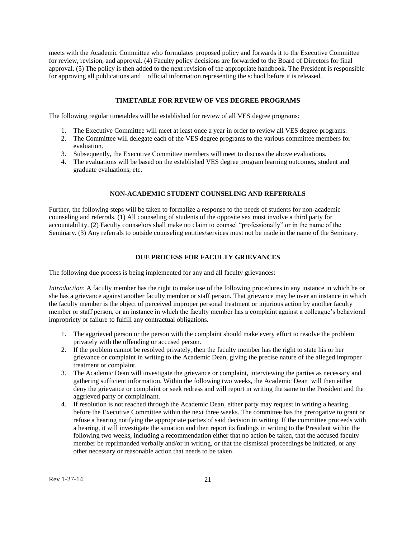meets with the Academic Committee who formulates proposed policy and forwards it to the Executive Committee for review, revision, and approval. (4) Faculty policy decisions are forwarded to the Board of Directors for final approval. (5) The policy is then added to the next revision of the appropriate handbook. The President is responsible for approving all publications and official information representing the school before it is released.

## **TIMETABLE FOR REVIEW OF VES DEGREE PROGRAMS**

<span id="page-20-0"></span>The following regular timetables will be established for review of all VES degree programs:

- 1. The Executive Committee will meet at least once a year in order to review all VES degree programs.
- 2. The Committee will delegate each of the VES degree programs to the various committee members for evaluation.
- 3. Subsequently, the Executive Committee members will meet to discuss the above evaluations.
- 4. The evaluations will be based on the established VES degree program learning outcomes, student and graduate evaluations, etc.

#### **NON-ACADEMIC STUDENT COUNSELING AND REFERRALS**

<span id="page-20-1"></span>Further, the following steps will be taken to formalize a response to the needs of students for non-academic counseling and referrals. (1) All counseling of students of the opposite sex must involve a third party for accountability. (2) Faculty counselors shall make no claim to counsel "professionally" or in the name of the Seminary. (3) Any referrals to outside counseling entities/services must not be made in the name of the Seminary.

## **DUE PROCESS FOR FACULTY GRIEVANCES**

<span id="page-20-2"></span>The following due process is being implemented for any and all faculty grievances:

*Introduction*: A faculty member has the right to make use of the following procedures in any instance in which he or she has a grievance against another faculty member or staff person. That grievance may be over an instance in which the faculty member is the object of perceived improper personal treatment or injurious action by another faculty member or staff person, or an instance in which the faculty member has a complaint against a colleague's behavioral impropriety or failure to fulfill any contractual obligations.

- 1. The aggrieved person or the person with the complaint should make every effort to resolve the problem privately with the offending or accused person.
- 2. If the problem cannot be resolved privately, then the faculty member has the right to state his or her grievance or complaint in writing to the Academic Dean, giving the precise nature of the alleged improper treatment or complaint.
- 3. The Academic Dean will investigate the grievance or complaint, interviewing the parties as necessary and gathering sufficient information. Within the following two weeks, the Academic Dean will then either deny the grievance or complaint or seek redress and will report in writing the same to the President and the aggrieved party or complainant.
- 4. If resolution is not reached through the Academic Dean, either party may request in writing a hearing before the Executive Committee within the next three weeks. The committee has the prerogative to grant or refuse a hearing notifying the appropriate parties of said decision in writing. If the committee proceeds with a hearing, it will investigate the situation and then report its findings in writing to the President within the following two weeks, including a recommendation either that no action be taken, that the accused faculty member be reprimanded verbally and/or in writing, or that the dismissal proceedings be initiated, or any other necessary or reasonable action that needs to be taken.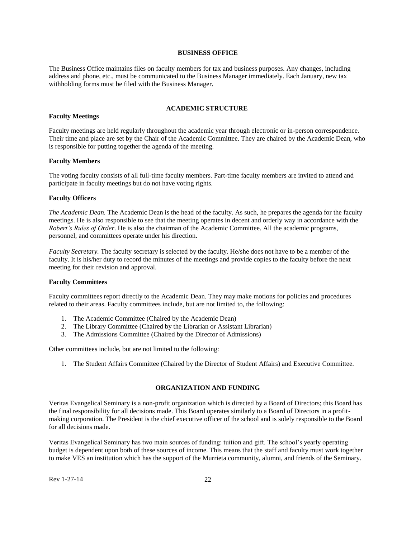## **BUSINESS OFFICE**

<span id="page-21-0"></span>The Business Office maintains files on faculty members for tax and business purposes. Any changes, including address and phone, etc., must be communicated to the Business Manager immediately. Each January, new tax withholding forms must be filed with the Business Manager.

## **ACADEMIC STRUCTURE**

#### <span id="page-21-2"></span><span id="page-21-1"></span>**Faculty Meetings**

Faculty meetings are held regularly throughout the academic year through electronic or in-person correspondence. Their time and place are set by the Chair of the Academic Committee. They are chaired by the Academic Dean, who is responsible for putting together the agenda of the meeting.

#### <span id="page-21-3"></span>**Faculty Members**

The voting faculty consists of all full-time faculty members. Part-time faculty members are invited to attend and participate in faculty meetings but do not have voting rights.

## <span id="page-21-4"></span>**Faculty Officers**

*The Academic Dean.* The Academic Dean is the head of the faculty. As such, he prepares the agenda for the faculty meetings. He is also responsible to see that the meeting operates in decent and orderly way in accordance with the *Robert's Rules of Order*. He is also the chairman of the Academic Committee. All the academic programs, personnel, and committees operate under his direction.

*Faculty Secretary.* The faculty secretary is selected by the faculty. He/she does not have to be a member of the faculty. It is his/her duty to record the minutes of the meetings and provide copies to the faculty before the next meeting for their revision and approval.

## <span id="page-21-5"></span>**Faculty Committees**

Faculty committees report directly to the Academic Dean. They may make motions for policies and procedures related to their areas. Faculty committees include, but are not limited to, the following:

- 1. The Academic Committee (Chaired by the Academic Dean)
- 2. The Library Committee (Chaired by the Librarian or Assistant Librarian)
- 3. The Admissions Committee (Chaired by the Director of Admissions)

Other committees include, but are not limited to the following:

<span id="page-21-6"></span>1. The Student Affairs Committee (Chaired by the Director of Student Affairs) and Executive Committee.

## **ORGANIZATION AND FUNDING**

Veritas Evangelical Seminary is a non-profit organization which is directed by a Board of Directors; this Board has the final responsibility for all decisions made. This Board operates similarly to a Board of Directors in a profitmaking corporation. The President is the chief executive officer of the school and is solely responsible to the Board for all decisions made.

Veritas Evangelical Seminary has two main sources of funding: tuition and gift. The school's yearly operating budget is dependent upon both of these sources of income. This means that the staff and faculty must work together to make VES an institution which has the support of the Murrieta community, alumni, and friends of the Seminary.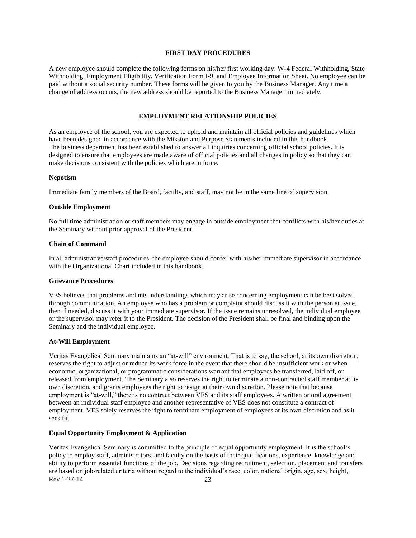## **FIRST DAY PROCEDURES**

<span id="page-22-0"></span>A new employee should complete the following forms on his/her first working day: W-4 Federal Withholding, State Withholding, Employment Eligibility. Verification Form I-9, and Employee Information Sheet. No employee can be paid without a social security number. These forms will be given to you by the Business Manager. Any time a change of address occurs, the new address should be reported to the Business Manager immediately.

## **EMPLOYMENT RELATIONSHIP POLICIES**

<span id="page-22-1"></span>As an employee of the school, you are expected to uphold and maintain all official policies and guidelines which have been designed in accordance with the Mission and Purpose Statements included in this handbook. The business department has been established to answer all inquiries concerning official school policies. It is designed to ensure that employees are made aware of official policies and all changes in policy so that they can make decisions consistent with the policies which are in force.

#### <span id="page-22-2"></span>**Nepotism**

Immediate family members of the Board, faculty, and staff, may not be in the same line of supervision.

#### <span id="page-22-3"></span>**Outside Employment**

No full time administration or staff members may engage in outside employment that conflicts with his/her duties at the Seminary without prior approval of the President.

#### <span id="page-22-4"></span>**Chain of Command**

In all administrative/staff procedures, the employee should confer with his/her immediate supervisor in accordance with the Organizational Chart included in this handbook.

#### <span id="page-22-5"></span>**Grievance Procedures**

VES believes that problems and misunderstandings which may arise concerning employment can be best solved through communication. An employee who has a problem or complaint should discuss it with the person at issue, then if needed, discuss it with your immediate supervisor. If the issue remains unresolved, the individual employee or the supervisor may refer it to the President. The decision of the President shall be final and binding upon the Seminary and the individual employee.

#### <span id="page-22-6"></span>**At-Will Employment**

Veritas Evangelical Seminary maintains an "at-will" environment. That is to say, the school, at its own discretion, reserves the right to adjust or reduce its work force in the event that there should be insufficient work or when economic, organizational, or programmatic considerations warrant that employees be transferred, laid off, or released from employment. The Seminary also reserves the right to terminate a non-contracted staff member at its own discretion, and grants employees the right to resign at their own discretion. Please note that because employment is "at-will," there is no contract between VES and its staff employees. A written or oral agreement between an individual staff employee and another representative of VES does not constitute a contract of employment. VES solely reserves the right to terminate employment of employees at its own discretion and as it sees fit.

## <span id="page-22-7"></span>**Equal Opportunity Employment & Application**

Rev 1-27-14 23 Veritas Evangelical Seminary is committed to the principle of equal opportunity employment. It is the school's policy to employ staff, administrators, and faculty on the basis of their qualifications, experience, knowledge and ability to perform essential functions of the job. Decisions regarding recruitment, selection, placement and transfers are based on job-related criteria without regard to the individual's race, color, national origin, age, sex, height,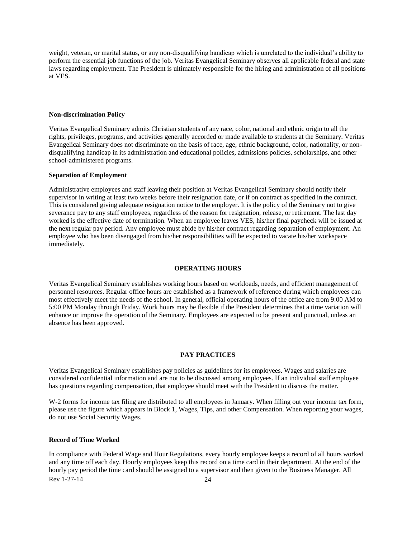weight, veteran, or marital status, or any non-disqualifying handicap which is unrelated to the individual's ability to perform the essential job functions of the job. Veritas Evangelical Seminary observes all applicable federal and state laws regarding employment. The President is ultimately responsible for the hiring and administration of all positions at VES.

#### <span id="page-23-0"></span>**Non-discrimination Policy**

Veritas Evangelical Seminary admits Christian students of any race, color, national and ethnic origin to all the rights, privileges, programs, and activities generally accorded or made available to students at the Seminary. Veritas Evangelical Seminary does not discriminate on the basis of race, age, ethnic background, color, nationality, or nondisqualifying handicap in its administration and educational policies, admissions policies, scholarships, and other school-administered programs.

#### <span id="page-23-1"></span>**Separation of Employment**

Administrative employees and staff leaving their position at Veritas Evangelical Seminary should notify their supervisor in writing at least two weeks before their resignation date, or if on contract as specified in the contract. This is considered giving adequate resignation notice to the employer. It is the policy of the Seminary not to give severance pay to any staff employees, regardless of the reason for resignation, release, or retirement. The last day worked is the effective date of termination. When an employee leaves VES, his/her final paycheck will be issued at the next regular pay period. Any employee must abide by his/her contract regarding separation of employment. An employee who has been disengaged from his/her responsibilities will be expected to vacate his/her workspace immediately.

#### **OPERATING HOURS**

<span id="page-23-2"></span>Veritas Evangelical Seminary establishes working hours based on workloads, needs, and efficient management of personnel resources. Regular office hours are established as a framework of reference during which employees can most effectively meet the needs of the school. In general, official operating hours of the office are from 9:00 AM to 5:00 PM Monday through Friday. Work hours may be flexible if the President determines that a time variation will enhance or improve the operation of the Seminary. Employees are expected to be present and punctual, unless an absence has been approved.

#### **PAY PRACTICES**

<span id="page-23-3"></span>Veritas Evangelical Seminary establishes pay policies as guidelines for its employees. Wages and salaries are considered confidential information and are not to be discussed among employees. If an individual staff employee has questions regarding compensation, that employee should meet with the President to discuss the matter.

W-2 forms for income tax filing are distributed to all employees in January. When filling out your income tax form, please use the figure which appears in Block 1, Wages, Tips, and other Compensation. When reporting your wages, do not use Social Security Wages.

#### <span id="page-23-4"></span>**Record of Time Worked**

Rev 1-27-14 24 In compliance with Federal Wage and Hour Regulations, every hourly employee keeps a record of all hours worked and any time off each day. Hourly employees keep this record on a time card in their department. At the end of the hourly pay period the time card should be assigned to a supervisor and then given to the Business Manager. All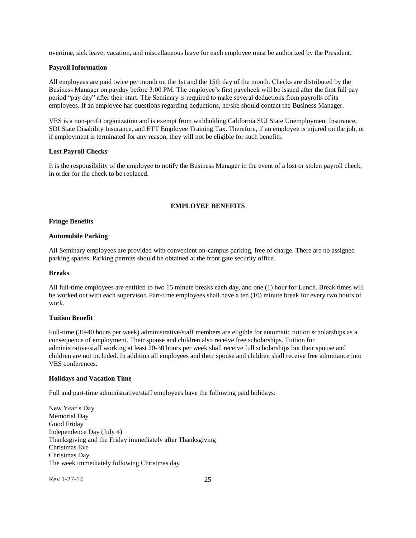overtime, sick leave, vacation, and miscellaneous leave for each employee must be authorized by the President.

## <span id="page-24-0"></span>**Payroll Information**

All employees are paid twice per month on the 1st and the 15th day of the month. Checks are distributed by the Business Manager on payday before 3:00 PM. The employee's first paycheck will be issued after the first full pay period "pay day" after their start. The Seminary is required to make several deductions from payrolls of its employees. If an employee has questions regarding deductions, he/she should contact the Business Manager.

VES is a non-profit organization and is exempt from withholding California SUI State Unemployment Insurance, SDI State Disability Insurance, and ETT Employee Training Tax. Therefore, if an employee is injured on the job, or if employment is terminated for any reason, they will not be eligible for such benefits.

## <span id="page-24-1"></span>**Lost Payroll Checks**

<span id="page-24-2"></span>It is the responsibility of the employee to notify the Business Manager in the event of a lost or stolen payroll check, in order for the check to be replaced.

## **EMPLOYEE BENEFITS**

#### **Fringe Benefits**

#### <span id="page-24-3"></span>**Automobile Parking**

All Seminary employees are provided with convenient on-campus parking, free of charge. There are no assigned parking spaces. Parking permits should be obtained at the front gate security office.

## <span id="page-24-4"></span>**Breaks**

All full-time employees are entitled to two 15 minute breaks each day, and one (1) hour for Lunch. Break times will be worked out with each supervisor. Part-time employees shall have a ten (10) minute break for every two hours of work.

## <span id="page-24-5"></span>**Tuition Benefit**

Full-time (30-40 hours per week) administrative/staff members are eligible for automatic tuition scholarships as a consequence of employment. Their spouse and children also receive free scholarships. Tuition for administrative/staff working at least 20-30 hours per week shall receive full scholarships but their spouse and children are not included. In addition all employees and their spouse and children shall receive free admittance into VES conferences.

#### <span id="page-24-6"></span>**Holidays and Vacation Time**

Full and part-time administrative/staff employees have the following paid holidays:

New Year's Day Memorial Day Good Friday Independence Day (July 4) Thanksgiving and the Friday immediately after Thanksgiving Christmas Eve Christmas Day The week immediately following Christmas day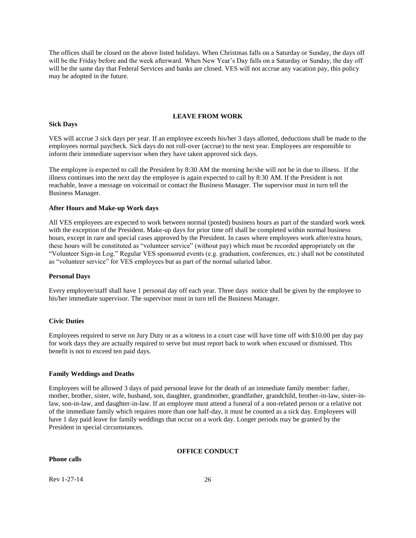The offices shall be closed on the above listed holidays. When Christmas falls on a Saturday or Sunday, the days off will be the Friday before and the week afterward. When New Year's Day falls on a Saturday or Sunday, the day off will be the same day that Federal Services and banks are closed. VES will not accrue any vacation pay, this policy may be adopted in the future.

## **LEAVE FROM WORK**

#### <span id="page-25-1"></span><span id="page-25-0"></span>**Sick Days**

VES will accrue 3 sick days per year. If an employee exceeds his/her 3 days allotted, deductions shall be made to the employees normal paycheck. Sick days do not roll-over (accrue) to the next year. Employees are responsible to inform their immediate supervisor when they have taken approved sick days.

The employee is expected to call the President by 8:30 AM the morning he/she will not be in due to illness. If the illness continues into the next day the employee is again expected to call by 8:30 AM. If the President is not reachable, leave a message on voicemail or contact the Business Manager. The supervisor must in turn tell the Business Manager.

#### <span id="page-25-2"></span>**After Hours and Make-up Work days**

All VES employees are expected to work between normal (posted) business hours as part of the standard work week with the exception of the President. Make-up days for prior time off shall be completed within normal business hours, except in rare and special cases approved by the President. In cases where employees work after/extra hours, these hours will be constituted as "volunteer service" (without pay) which must be recorded appropriately on the "Volunteer Sign-in Log." Regular VES sponsored events (e.g. graduation, conferences, etc.) shall not be constituted as "volunteer service" for VES employees but as part of the normal salaried labor.

#### <span id="page-25-3"></span>**Personal Days**

Every employee/staff shall have 1 personal day off each year. Three days notice shall be given by the employee to his/her immediate supervisor. The supervisor must in turn tell the Business Manager.

#### <span id="page-25-4"></span>**Civic Duties**

Employees required to serve on Jury Duty or as a witness in a court case will have time off with \$10.00 per day pay for work days they are actually required to serve but must report back to work when excused or dismissed. This benefit is not to exceed ten paid days.

## <span id="page-25-5"></span>**Family Weddings and Deaths**

Employees will be allowed 3 days of paid personal leave for the death of an immediate family member: father, mother, brother, sister, wife, husband, son, daughter, grandmother, grandfather, grandchild, brother-in-law, sister-inlaw, son-in-law, and daughter-in-law. If an employee must attend a funeral of a non-related person or a relative not of the immediate family which requires more than one half-day, it must be counted as a sick day. Employees will have 1 day paid leave for family weddings that occur on a work day. Longer periods may be granted by the President in special circumstances.

#### **OFFICE CONDUCT**

## <span id="page-25-7"></span><span id="page-25-6"></span>**Phone calls**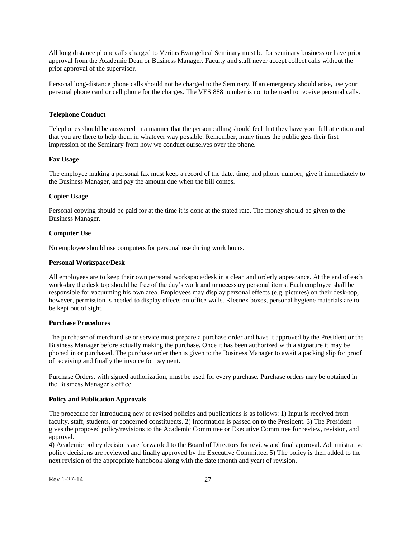All long distance phone calls charged to Veritas Evangelical Seminary must be for seminary business or have prior approval from the Academic Dean or Business Manager. Faculty and staff never accept collect calls without the prior approval of the supervisor.

Personal long-distance phone calls should not be charged to the Seminary. If an emergency should arise, use your personal phone card or cell phone for the charges. The VES 888 number is not to be used to receive personal calls.

## <span id="page-26-0"></span>**Telephone Conduct**

Telephones should be answered in a manner that the person calling should feel that they have your full attention and that you are there to help them in whatever way possible. Remember, many times the public gets their first impression of the Seminary from how we conduct ourselves over the phone.

#### <span id="page-26-1"></span>**Fax Usage**

The employee making a personal fax must keep a record of the date, time, and phone number, give it immediately to the Business Manager, and pay the amount due when the bill comes.

#### <span id="page-26-2"></span>**Copier Usage**

Personal copying should be paid for at the time it is done at the stated rate. The money should be given to the Business Manager.

#### <span id="page-26-3"></span>**Computer Use**

No employee should use computers for personal use during work hours.

#### <span id="page-26-4"></span>**Personal Workspace/Desk**

All employees are to keep their own personal workspace/desk in a clean and orderly appearance. At the end of each work-day the desk top should be free of the day's work and unnecessary personal items. Each employee shall be responsible for vacuuming his own area. Employees may display personal effects (e.g. pictures) on their desk-top, however, permission is needed to display effects on office walls. Kleenex boxes, personal hygiene materials are to be kept out of sight.

#### <span id="page-26-5"></span>**Purchase Procedures**

The purchaser of merchandise or service must prepare a purchase order and have it approved by the President or the Business Manager before actually making the purchase. Once it has been authorized with a signature it may be phoned in or purchased. The purchase order then is given to the Business Manager to await a packing slip for proof of receiving and finally the invoice for payment.

Purchase Orders, with signed authorization, must be used for every purchase. Purchase orders may be obtained in the Business Manager's office.

#### <span id="page-26-6"></span>**Policy and Publication Approvals**

The procedure for introducing new or revised policies and publications is as follows: 1) Input is received from faculty, staff, students, or concerned constituents. 2) Information is passed on to the President. 3) The President gives the proposed policy/revisions to the Academic Committee or Executive Committee for review, revision, and approval.

4) Academic policy decisions are forwarded to the Board of Directors for review and final approval. Administrative policy decisions are reviewed and finally approved by the Executive Committee. 5) The policy is then added to the next revision of the appropriate handbook along with the date (month and year) of revision.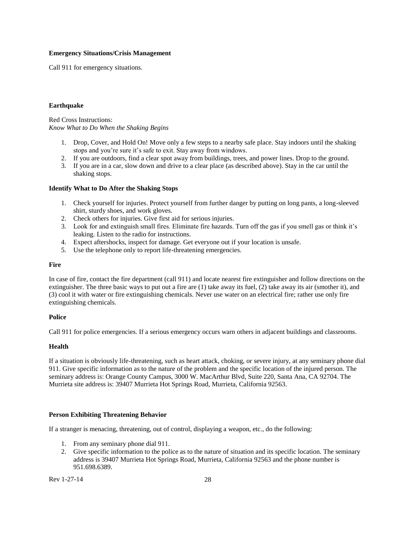#### <span id="page-27-0"></span>**Emergency Situations/Crisis Management**

<span id="page-27-1"></span>Call 911 for emergency situations.

#### **Earthquake**

Red Cross Instructions: *Know What to Do When the Shaking Begins*

- 1. Drop, Cover, and Hold On! Move only a few steps to a nearby safe place. Stay indoors until the shaking stops and you're sure it's safe to exit. Stay away from windows.
- 2. If you are outdoors, find a clear spot away from buildings, trees, and power lines. Drop to the ground.
- 3. If you are in a car, slow down and drive to a clear place (as described above). Stay in the car until the shaking stops.

#### <span id="page-27-2"></span>**Identify What to Do After the Shaking Stops**

- 1. Check yourself for injuries. Protect yourself from further danger by putting on long pants, a long-sleeved shirt, sturdy shoes, and work gloves.
- 2. Check others for injuries. Give first aid for serious injuries.
- 3. Look for and extinguish small fires. Eliminate fire hazards. Turn off the gas if you smell gas or think it's leaking. Listen to the radio for instructions.
- 4. Expect aftershocks, inspect for damage. Get everyone out if your location is unsafe.
- 5. Use the telephone only to report life-threatening emergencies.

#### <span id="page-27-3"></span>**Fire**

In case of fire, contact the fire department (call 911) and locate nearest fire extinguisher and follow directions on the extinguisher. The three basic ways to put out a fire are (1) take away its fuel, (2) take away its air (smother it), and (3) cool it with water or fire extinguishing chemicals. Never use water on an electrical fire; rather use only fire extinguishing chemicals.

#### <span id="page-27-4"></span>**Police**

Call 911 for police emergencies. If a serious emergency occurs warn others in adjacent buildings and classrooms.

## <span id="page-27-5"></span>**Health**

If a situation is obviously life-threatening, such as heart attack, choking, or severe injury, at any seminary phone dial 911. Give specific information as to the nature of the problem and the specific location of the injured person. The seminary address is: Orange County Campus, 3000 W. MacArthur Blvd, Suite 220, Santa Ana, CA 92704. The Murrieta site address is: 39407 Murrieta Hot Springs Road, Murrieta, California 92563.

## <span id="page-27-6"></span>**Person Exhibiting Threatening Behavior**

If a stranger is menacing, threatening, out of control, displaying a weapon, etc., do the following:

- 1. From any seminary phone dial 911.
- 2. Give specific information to the police as to the nature of situation and its specific location. The seminary address is 39407 Murrieta Hot Springs Road, Murrieta, California 92563 and the phone number is 951.698.6389.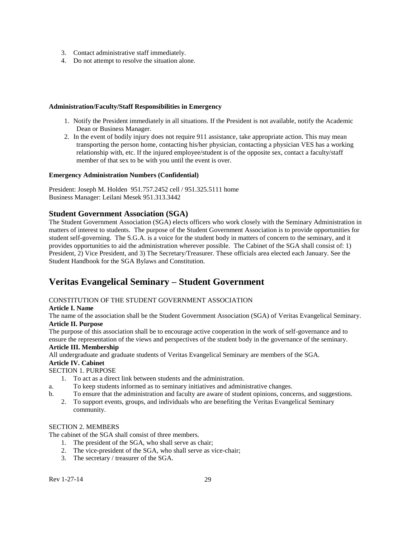- 3. Contact administrative staff immediately.
- <span id="page-28-0"></span>4. Do not attempt to resolve the situation alone.

## **Administration/Faculty/Staff Responsibilities in Emergency**

- 1. Notify the President immediately in all situations. If the President is not available, notify the Academic Dean or Business Manager.
- 2. In the event of bodily injury does not require 911 assistance, take appropriate action. This may mean transporting the person home, contacting his/her physician, contacting a physician VES has a working relationship with, etc. If the injured employee/student is of the opposite sex, contact a faculty/staff member of that sex to be with you until the event is over.

## <span id="page-28-1"></span>**Emergency Administration Numbers (Confidential)**

President: Joseph M. Holden 951.757.2452 cell / 951.325.5111 home Business Manager: Leilani Mesek 951.313.3442

## <span id="page-28-2"></span>**Student Government Association (SGA)**

The Student Government Association (SGA) elects officers who work closely with the Seminary Administration in matters of interest to students. The purpose of the Student Government Association is to provide opportunities for student self-governing. The S.G.A. is a voice for the student body in matters of concern to the seminary, and it provides opportunities to aid the administration wherever possible. The Cabinet of the SGA shall consist of: 1) President, 2) Vice President, and 3) The Secretary/Treasurer. These officials area elected each January. See the Student Handbook for the SGA Bylaws and Constitution.

## **Veritas Evangelical Seminary – Student Government**

## CONSTITUTION OF THE STUDENT GOVERNMENT ASSOCIATION

## **Article I. Name**

The name of the association shall be the Student Government Association (SGA) of Veritas Evangelical Seminary. **Article II. Purpose**

The purpose of this association shall be to encourage active cooperation in the work of self-governance and to ensure the representation of the views and perspectives of the student body in the governance of the seminary.

## **Article III. Membership**

All undergraduate and graduate students of Veritas Evangelical Seminary are members of the SGA.

## **Article IV. Cabinet**

SECTION 1. PURPOSE

- 1. To act as a direct link between students and the administration.
- a. To keep students informed as to seminary initiatives and administrative changes.
- b. To ensure that the administration and faculty are aware of student opinions, concerns, and suggestions.
	- 2. To support events, groups, and individuals who are benefiting the Veritas Evangelical Seminary community.

## SECTION 2. MEMBERS

The cabinet of the SGA shall consist of three members.

- 1. The president of the SGA, who shall serve as chair;
- 2. The vice-president of the SGA, who shall serve as vice-chair;
- 3. The secretary / treasurer of the SGA.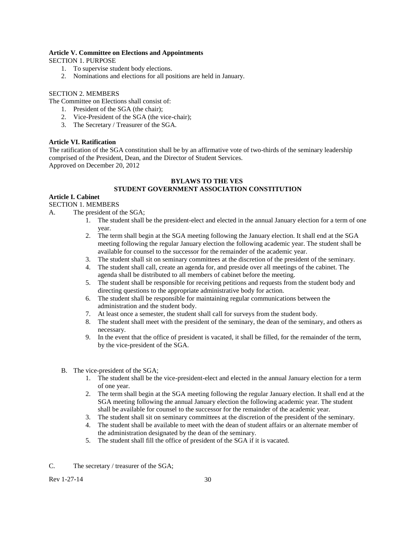## **Article V. Committee on Elections and Appointments**

SECTION 1. PURPOSE

- 1. To supervise student body elections.
- 2. Nominations and elections for all positions are held in January.

## SECTION 2. MEMBERS

The Committee on Elections shall consist of:

- 1. President of the SGA (the chair);
- 2. Vice-President of the SGA (the vice-chair);
- 3. The Secretary / Treasurer of the SGA.

## **Article VI. Ratification**

The ratification of the SGA constitution shall be by an affirmative vote of two-thirds of the seminary leadership comprised of the President, Dean, and the Director of Student Services. Approved on December 20, 2012

## **BYLAWS TO THE VES**

## **STUDENT GOVERNMENT ASSOCIATION CONSTITUTION**

## **Article I. Cabinet**

SECTION 1. MEMBERS

A. The president of the SGA;

- 1. The student shall be the president-elect and elected in the annual January election for a term of one year.
- 2. The term shall begin at the SGA meeting following the January election. It shall end at the SGA meeting following the regular January election the following academic year. The student shall be available for counsel to the successor for the remainder of the academic year.
- 3. The student shall sit on seminary committees at the discretion of the president of the seminary.
- 4. The student shall call, create an agenda for, and preside over all meetings of the cabinet. The agenda shall be distributed to all members of cabinet before the meeting.
- 5. The student shall be responsible for receiving petitions and requests from the student body and directing questions to the appropriate administrative body for action.
- 6. The student shall be responsible for maintaining regular communications between the administration and the student body.
- 7. At least once a semester, the student shall call for surveys from the student body.
- 8. The student shall meet with the president of the seminary, the dean of the seminary, and others as necessary.
- 9. In the event that the office of president is vacated, it shall be filled, for the remainder of the term, by the vice-president of the SGA.
- B. The vice-president of the SGA;
	- 1. The student shall be the vice-president-elect and elected in the annual January election for a term of one year.
	- 2. The term shall begin at the SGA meeting following the regular January election. It shall end at the SGA meeting following the annual January election the following academic year. The student shall be available for counsel to the successor for the remainder of the academic year.
	- 3. The student shall sit on seminary committees at the discretion of the president of the seminary.
	- 4. The student shall be available to meet with the dean of student affairs or an alternate member of the administration designated by the dean of the seminary.
	- 5. The student shall fill the office of president of the SGA if it is vacated.
- C. The secretary / treasurer of the SGA;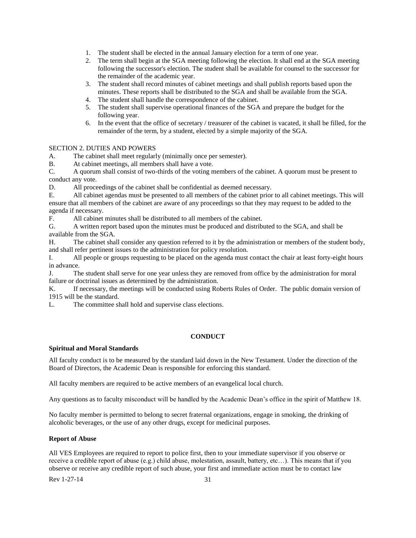- 1. The student shall be elected in the annual January election for a term of one year.
- 2. The term shall begin at the SGA meeting following the election. It shall end at the SGA meeting following the successor's election. The student shall be available for counsel to the successor for the remainder of the academic year.
- 3. The student shall record minutes of cabinet meetings and shall publish reports based upon the minutes. These reports shall be distributed to the SGA and shall be available from the SGA.
- 4. The student shall handle the correspondence of the cabinet.
- 5. The student shall supervise operational finances of the SGA and prepare the budget for the following year.
- 6. In the event that the office of secretary / treasurer of the cabinet is vacated, it shall be filled, for the remainder of the term, by a student, elected by a simple majority of the SGA.

## SECTION 2. DUTIES AND POWERS

A. The cabinet shall meet regularly (minimally once per semester).

B. At cabinet meetings, all members shall have a vote.

C. A quorum shall consist of two-thirds of the voting members of the cabinet. A quorum must be present to conduct any vote.

D. All proceedings of the cabinet shall be confidential as deemed necessary.

E. All cabinet agendas must be presented to all members of the cabinet prior to all cabinet meetings. This will ensure that all members of the cabinet are aware of any proceedings so that they may request to be added to the agenda if necessary.

F. All cabinet minutes shall be distributed to all members of the cabinet.

G. A written report based upon the minutes must be produced and distributed to the SGA, and shall be available from the SGA.

H. The cabinet shall consider any question referred to it by the administration or members of the student body, and shall refer pertinent issues to the administration for policy resolution.

I. All people or groups requesting to be placed on the agenda must contact the chair at least forty-eight hours in advance.

J. The student shall serve for one year unless they are removed from office by the administration for moral failure or doctrinal issues as determined by the administration.

K. If necessary, the meetings will be conducted using Roberts Rules of Order. The public domain version of 1915 will be the standard.

L. The committee shall hold and supervise class elections.

## **CONDUCT**

## <span id="page-30-0"></span>**Spiritual and Moral Standards**

All faculty conduct is to be measured by the standard laid down in the New Testament. Under the direction of the Board of Directors, the Academic Dean is responsible for enforcing this standard.

All faculty members are required to be active members of an evangelical local church.

Any questions as to faculty misconduct will be handled by the Academic Dean's office in the spirit of Matthew 18.

No faculty member is permitted to belong to secret fraternal organizations, engage in smoking, the drinking of alcoholic beverages, or the use of any other drugs, except for medicinal purposes.

## <span id="page-30-1"></span>**Report of Abuse**

All VES Employees are required to report to police first, then to your immediate supervisor if you observe or receive a credible report of abuse (e.g.) child abuse, molestation, assault, battery, etc…). This means that if you observe or receive any credible report of such abuse, your first and immediate action must be to contact law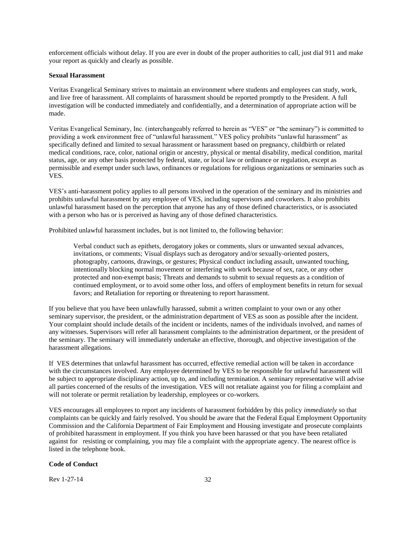enforcement officials without delay. If you are ever in doubt of the proper authorities to call, just dial 911 and make your report as quickly and clearly as possible.

#### **Sexual Harassment**

Veritas Evangelical Seminary strives to maintain an environment where students and employees can study, work, and live free of harassment. All complaints of harassment should be reported promptly to the President. A full investigation will be conducted immediately and confidentially, and a determination of appropriate action will be made.

Veritas Evangelical Seminary, Inc. (interchangeably referred to herein as "VES" or "the seminary") is committed to providing a work environment free of "unlawful harassment." VES policy prohibits "unlawful harassment" as specifically defined and limited to sexual harassment or harassment based on pregnancy, childbirth or related medical conditions, race, color, national origin or ancestry, physical or mental disability, medical condition, marital status, age, or any other basis protected by federal, state, or local law or ordinance or regulation, except as permissible and exempt under such laws, ordinances or regulations for religious organizations or seminaries such as VES.

VES's anti-harassment policy applies to all persons involved in the operation of the seminary and its ministries and prohibits unlawful harassment by any employee of VES, including supervisors and coworkers. It also prohibits unlawful harassment based on the perception that anyone has any of those defined characteristics, or is associated with a person who has or is perceived as having any of those defined characteristics.

Prohibited unlawful harassment includes, but is not limited to, the following behavior:

Verbal conduct such as epithets, derogatory jokes or comments, slurs or unwanted sexual advances, invitations, or comments; Visual displays such as derogatory and/or sexually-oriented posters, photography, cartoons, drawings, or gestures; Physical conduct including assault, unwanted touching, intentionally blocking normal movement or interfering with work because of sex, race, or any other protected and non-exempt basis; Threats and demands to submit to sexual requests as a condition of continued employment, or to avoid some other loss, and offers of employment benefits in return for sexual favors; and Retaliation for reporting or threatening to report harassment.

If you believe that you have been unlawfully harassed, submit a written complaint to your own or any other seminary supervisor, the president, or the administration department of VES as soon as possible after the incident. Your complaint should include details of the incident or incidents, names of the individuals involved, and names of any witnesses. Supervisors will refer all harassment complaints to the administration department, or the president of the seminary. The seminary will immediately undertake an effective, thorough, and objective investigation of the harassment allegations.

If VES determines that unlawful harassment has occurred, effective remedial action will be taken in accordance with the circumstances involved. Any employee determined by VES to be responsible for unlawful harassment will be subject to appropriate disciplinary action, up to, and including termination. A seminary representative will advise all parties concerned of the results of the investigation. VES will not retaliate against you for filing a complaint and will not tolerate or permit retaliation by leadership, employees or co-workers.

VES encourages all employees to report any incidents of harassment forbidden by this policy *immediately* so that complaints can be quickly and fairly resolved. You should be aware that the Federal Equal Employment Opportunity Commission and the California Department of Fair Employment and Housing investigate and prosecute complaints of prohibited harassment in employment. If you think you have been harassed or that you have been retaliated against for resisting or complaining, you may file a complaint with the appropriate agency. The nearest office is listed in the telephone book.

## <span id="page-31-0"></span>**Code of Conduct**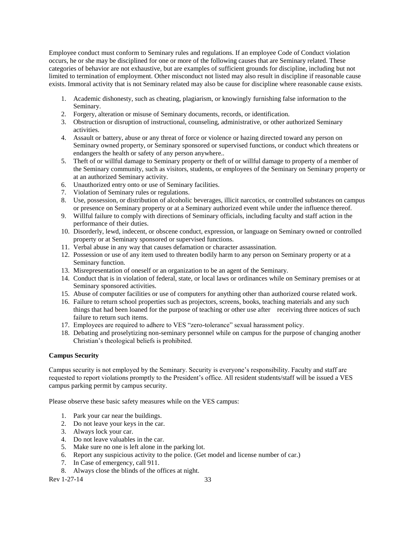Employee conduct must conform to Seminary rules and regulations. If an employee Code of Conduct violation occurs, he or she may be disciplined for one or more of the following causes that are Seminary related. These categories of behavior are not exhaustive, but are examples of sufficient grounds for discipline, including but not limited to termination of employment. Other misconduct not listed may also result in discipline if reasonable cause exists. Immoral activity that is not Seminary related may also be cause for discipline where reasonable cause exists.

- 1. Academic dishonesty, such as cheating, plagiarism, or knowingly furnishing false information to the Seminary.
- 2. Forgery, alteration or misuse of Seminary documents, records, or identification.
- 3. Obstruction or disruption of instructional, counseling, administrative, or other authorized Seminary activities.
- 4. Assault or battery, abuse or any threat of force or violence or hazing directed toward any person on Seminary owned property, or Seminary sponsored or supervised functions, or conduct which threatens or endangers the health or safety of any person anywhere..
- 5. Theft of or willful damage to Seminary property or theft of or willful damage to property of a member of the Seminary community, such as visitors, students, or employees of the Seminary on Seminary property or at an authorized Seminary activity.
- 6. Unauthorized entry onto or use of Seminary facilities.
- 7. Violation of Seminary rules or regulations.
- 8. Use, possession, or distribution of alcoholic beverages, illicit narcotics, or controlled substances on campus or presence on Seminary property or at a Seminary authorized event while under the influence thereof.
- 9. Willful failure to comply with directions of Seminary officials, including faculty and staff action in the performance of their duties.
- 10. Disorderly, lewd, indecent, or obscene conduct, expression, or language on Seminary owned or controlled property or at Seminary sponsored or supervised functions.
- 11. Verbal abuse in any way that causes defamation or character assassination.
- 12. Possession or use of any item used to threaten bodily harm to any person on Seminary property or at a Seminary function.
- 13. Misrepresentation of oneself or an organization to be an agent of the Seminary.
- 14. Conduct that is in violation of federal, state, or local laws or ordinances while on Seminary premises or at Seminary sponsored activities.
- 15. Abuse of computer facilities or use of computers for anything other than authorized course related work.
- 16. Failure to return school properties such as projectors, screens, books, teaching materials and any such things that had been loaned for the purpose of teaching or other use after receiving three notices of such failure to return such items.
- 17. Employees are required to adhere to VES "zero-tolerance" sexual harassment policy.
- 18. Debating and proselytizing non-seminary personnel while on campus for the purpose of changing another Christian's theological beliefs is prohibited.

## <span id="page-32-0"></span>**Campus Security**

Campus security is not employed by the Seminary. Security is everyone's responsibility. Faculty and staff are requested to report violations promptly to the President's office. All resident students/staff will be issued a VES campus parking permit by campus security.

Please observe these basic safety measures while on the VES campus:

- 1. Park your car near the buildings.
- 2. Do not leave your keys in the car.
- 3. Always lock your car.
- 4. Do not leave valuables in the car.
- 5. Make sure no one is left alone in the parking lot.
- 6. Report any suspicious activity to the police. (Get model and license number of car.)
- 7. In Case of emergency, call 911.
- 8. Always close the blinds of the offices at night.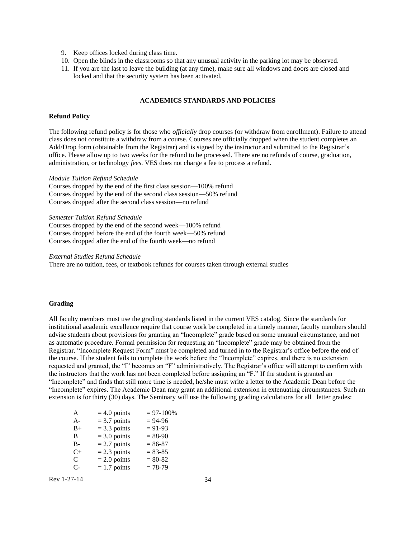- 9. Keep offices locked during class time.
- 10. Open the blinds in the classrooms so that any unusual activity in the parking lot may be observed.
- <span id="page-33-0"></span>11. If you are the last to leave the building (at any time), make sure all windows and doors are closed and locked and that the security system has been activated.

## **ACADEMICS STANDARDS AND POLICIES**

#### <span id="page-33-1"></span>**Refund Policy**

The following refund policy is for those who *officially* drop courses (or withdraw from enrollment). Failure to attend class does not constitute a withdraw from a course. Courses are officially dropped when the student completes an Add/Drop form (obtainable from the Registrar) and is signed by the instructor and submitted to the Registrar's office. Please allow up to two weeks for the refund to be processed. There are no refunds of course, graduation, administration, or technology *fees*. VES does not charge a fee to process a refund.

#### *Module Tuition Refund Schedule*

Courses dropped by the end of the first class session—100% refund Courses dropped by the end of the second class session—50% refund Courses dropped after the second class session—no refund

*Semester Tuition Refund Schedule*

Courses dropped by the end of the second week—100% refund Courses dropped before the end of the fourth week—50% refund Courses dropped after the end of the fourth week—no refund

#### *External Studies Refund Schedule*

There are no tuition, fees, or textbook refunds for courses taken through external studies

## **Grading**

All faculty members must use the grading standards listed in the current VES catalog. Since the standards for institutional academic excellence require that course work be completed in a timely manner, faculty members should advise students about provisions for granting an "Incomplete" grade based on some unusual circumstance, and not as automatic procedure. Formal permission for requesting an "Incomplete" grade may be obtained from the Registrar. "Incomplete Request Form" must be completed and turned in to the Registrar's office before the end of the course. If the student fails to complete the work before the "Incomplete" expires, and there is no extension requested and granted, the "I" becomes an "F" administratively. The Registrar's office will attempt to confirm with the instructors that the work has not been completed before assigning an "F." If the student is granted an "Incomplete" and finds that still more time is needed, he/she must write a letter to the Academic Dean before the "Incomplete" expires. The Academic Dean may grant an additional extension in extenuating circumstances. Such an extension is for thirty (30) days. The Seminary will use the following grading calculations for all letter grades:

| A         | $= 4.0$ points | $= 97 - 100\%$ |
|-----------|----------------|----------------|
| $A-$      | $=$ 3.7 points | $= 94-96$      |
| $B+$      | $=$ 3.3 points | $= 91 - 93$    |
| B         | $=$ 3.0 points | $= 88-90$      |
| <b>B-</b> | $= 2.7$ points | $= 86 - 87$    |
| $C+$      | $= 2.3$ points | $= 83 - 85$    |
| C         | $= 2.0$ points | $= 80 - 82$    |
| C-        | $= 1.7$ points | $= 78-79$      |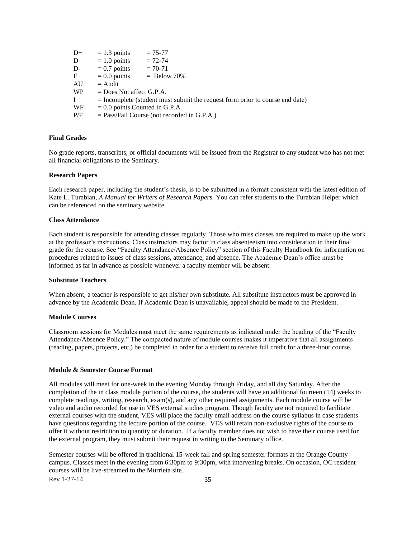| $D+$ | $= 1.3$ points                   | $= 75 - 77$                                                                    |
|------|----------------------------------|--------------------------------------------------------------------------------|
| D    | $= 1.0$ points                   | $= 72 - 74$                                                                    |
| D-   | $= 0.7$ points                   | $= 70 - 71$                                                                    |
| F    | $= 0.0$ points                   | $=$ Below 70%                                                                  |
| AU   | $=$ Audit                        |                                                                                |
| WP   | $=$ Does Not affect G.P.A.       |                                                                                |
|      |                                  | $=$ Incomplete (student must submit the request form prior to course end date) |
| WF   | $= 0.0$ points Counted in G.P.A. |                                                                                |
| P/F  |                                  | $=$ Pass/Fail Course (not recorded in G.P.A.)                                  |
|      |                                  |                                                                                |

## <span id="page-34-0"></span>**Final Grades**

No grade reports, transcripts, or official documents will be issued from the Registrar to any student who has not met all financial obligations to the Seminary.

#### <span id="page-34-1"></span>**Research Papers**

Each research paper, including the student's thesis, is to be submitted in a format consistent with the latest edition of Kate L. Turabian, *A Manual for Writers of Research Papers.* You can refer students to the Turabian Helper which can be referenced on the seminary website.

#### <span id="page-34-2"></span>**Class Attendance**

Each student is responsible for attending classes regularly. Those who miss classes are required to make up the work at the professor's instructions. Class instructors may factor in class absenteeism into consideration in their final grade for the course. See "Faculty Attendance/Absence Policy" section of this Faculty Handbook for information on procedures related to issues of class sessions, attendance, and absence. The Academic Dean's office must be informed as far in advance as possible whenever a faculty member will be absent.

## <span id="page-34-3"></span>**Substitute Teachers**

When absent, a teacher is responsible to get his/her own substitute. All substitute instructors must be approved in advance by the Academic Dean. If Academic Dean is unavailable, appeal should be made to the President.

#### <span id="page-34-4"></span>**Module Courses**

Classroom sessions for Modules must meet the same requirements as indicated under the heading of the "Faculty Attendance/Absence Policy." The compacted nature of module courses makes it imperative that all assignments (reading, papers, projects, etc.) be completed in order for a student to receive full credit for a three-hour course.

#### <span id="page-34-5"></span>**Module & Semester Course Format**

All modules will meet for one-week in the evening Monday through Friday, and all day Saturday. After the completion of the in class module portion of the course, the students will have an additional fourteen (14) weeks to complete readings, writing, research, exam(s), and any other required assignments. Each module course will be video and audio recorded for use in VES external studies program. Though faculty are not required to facilitate external courses with the student, VES will place the faculty email address on the course syllabus in case students have questions regarding the lecture portion of the course. VES will retain non-exclusive rights of the course to offer it without restriction to quantity or duration. If a faculty member does not wish to have their course used for the external program, they must submit their request in writing to the Seminary office.

Rev 1-27-14 35 Semester courses will be offered in traditional 15-week fall and spring semester formats at the Orange County campus. Classes meet in the evening from 6:30pm to 9:30pm, with intervening breaks. On occasion, OC resident courses will be live-streamed to the Murrieta site.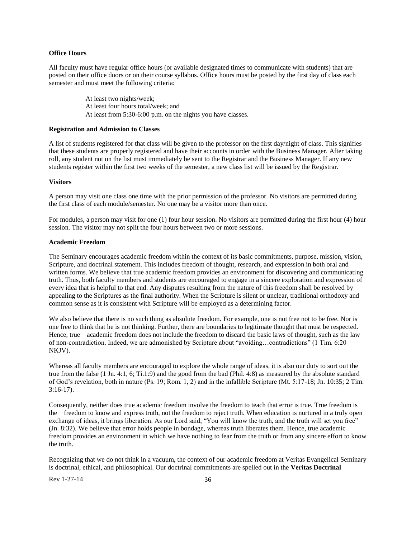#### <span id="page-35-0"></span>**Office Hours**

All faculty must have regular office hours (or available designated times to communicate with students) that are posted on their office doors or on their course syllabus. Office hours must be posted by the first day of class each semester and must meet the following criteria:

> At least two nights/week; At least four hours total/week; and At least from 5:30-6:00 p.m. on the nights you have classes.

#### <span id="page-35-1"></span>**Registration and Admission to Classes**

A list of students registered for that class will be given to the professor on the first day/night of class. This signifies that these students are properly registered and have their accounts in order with the Business Manager. After taking roll, any student not on the list must immediately be sent to the Registrar and the Business Manager. If any new students register within the first two weeks of the semester, a new class list will be issued by the Registrar.

#### <span id="page-35-2"></span>**Visitors**

A person may visit one class one time with the prior permission of the professor. No visitors are permitted during the first class of each module/semester. No one may be a visitor more than once.

For modules, a person may visit for one (1) four hour session. No visitors are permitted during the first hour (4) hour session. The visitor may not split the four hours between two or more sessions.

## <span id="page-35-3"></span>**Academic Freedom**

The Seminary encourages academic freedom within the context of its basic commitments, purpose, mission, vision, Scripture, and doctrinal statement. This includes freedom of thought, research, and expression in both oral and written forms. We believe that true academic freedom provides an environment for discovering and communicating truth. Thus, both faculty members and students are encouraged to engage in a sincere exploration and expression of every idea that is helpful to that end. Any disputes resulting from the nature of this freedom shall be resolved by appealing to the Scriptures as the final authority. When the Scripture is silent or unclear, traditional orthodoxy and common sense as it is consistent with Scripture will be employed as a determining factor.

We also believe that there is no such thing as absolute freedom. For example, one is not free not to be free. Nor is one free to think that he is not thinking. Further, there are boundaries to legitimate thought that must be respected. Hence, true academic freedom does not include the freedom to discard the basic laws of thought, such as the law of non-contradiction. Indeed, we are admonished by Scripture about "avoiding…contradictions" (1 Tim. 6:20 NKJV).

Whereas all faculty members are encouraged to explore the whole range of ideas, it is also our duty to sort out the true from the false (1 Jn. 4:1, 6; Ti.1:9) and the good from the bad (Phil. 4:8) as measured by the absolute standard of God's revelation, both in nature (Ps. 19; Rom. 1, 2) and in the infallible Scripture (Mt. 5:17-18; Jn. 10:35; 2 Tim. 3:16-17).

Consequently, neither does true academic freedom involve the freedom to teach that error is true. True freedom is the freedom to know and express truth, not the freedom to reject truth. When education is nurtured in a truly open exchange of ideas, it brings liberation. As our Lord said, "You will know the truth, and the truth will set you free" (Jn. 8:32). We believe that error holds people in bondage, whereas truth liberates them. Hence, true academic freedom provides an environment in which we have nothing to fear from the truth or from any sincere effort to know the truth.

Recognizing that we do not think in a vacuum, the context of our academic freedom at Veritas Evangelical Seminary is doctrinal, ethical, and philosophical. Our doctrinal commitments are spelled out in the **Veritas Doctrinal**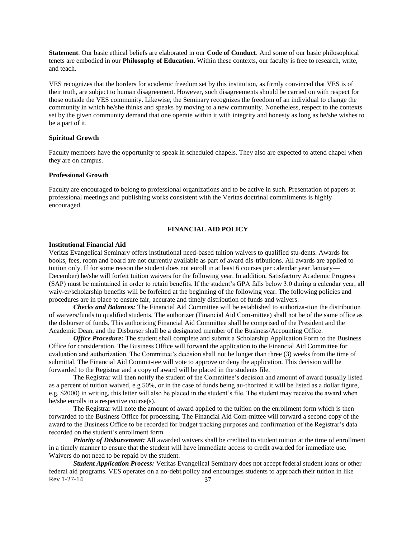**Statement**. Our basic ethical beliefs are elaborated in our **Code of Conduct**. And some of our basic philosophical tenets are embodied in our **Philosophy of Education**. Within these contexts, our faculty is free to research, write, and teach.

VES recognizes that the borders for academic freedom set by this institution, as firmly convinced that VES is of their truth, are subject to human disagreement. However, such disagreements should be carried on with respect for those outside the VES community. Likewise, the Seminary recognizes the freedom of an individual to change the community in which he/she thinks and speaks by moving to a new community. Nonetheless, respect to the contexts set by the given community demand that one operate within it with integrity and honesty as long as he/she wishes to be a part of it.

## <span id="page-36-0"></span>**Spiritual Growth**

Faculty members have the opportunity to speak in scheduled chapels. They also are expected to attend chapel when they are on campus.

## <span id="page-36-1"></span>**Professional Growth**

<span id="page-36-2"></span>Faculty are encouraged to belong to professional organizations and to be active in such. Presentation of papers at professional meetings and publishing works consistent with the Veritas doctrinal commitments is highly encouraged.

#### **FINANCIAL AID POLICY**

#### <span id="page-36-3"></span>**Institutional Financial Aid**

Veritas Evangelical Seminary offers institutional need-based tuition waivers to qualified stu-dents. Awards for books, fees, room and board are not currently available as part of award dis-tributions. All awards are applied to tuition only. If for some reason the student does not enroll in at least 6 courses per calendar year January— December) he/she will forfeit tuition waivers for the following year. In addition, Satisfactory Academic Progress (SAP) must be maintained in order to retain benefits. If the student's GPA falls below 3.0 during a calendar year, all waiv-er/scholarship benefits will be forfeited at the beginning of the following year. The following policies and procedures are in place to ensure fair, accurate and timely distribution of funds and waivers:

*Checks and Balances:* The Financial Aid Committee will be established to authoriza-tion the distribution of waivers/funds to qualified students. The authorizer (Financial Aid Com-mittee) shall not be of the same office as the disburser of funds. This authorizing Financial Aid Committee shall be comprised of the President and the Academic Dean, and the Disburser shall be a designated member of the Business/Accounting Office.

*Office Procedure:* The student shall complete and submit a Scholarship Application Form to the Business Office for consideration. The Business Office will forward the application to the Financial Aid Committee for evaluation and authorization. The Committee's decision shall not be longer than three (3) weeks from the time of submittal. The Financial Aid Commit-tee will vote to approve or deny the application. This decision will be forwarded to the Registrar and a copy of award will be placed in the students file.

The Registrar will then notify the student of the Committee's decision and amount of award (usually listed as a percent of tuition waived, e.g 50%, or in the case of funds being au-thorized it will be listed as a dollar figure, e.g. \$2000) in writing, this letter will also be placed in the student's file. The student may receive the award when he/she enrolls in a respective course(s).

The Registrar will note the amount of award applied to the tuition on the enrollment form which is then forwarded to the Business Office for processing. The Financial Aid Com-mittee will forward a second copy of the award to the Business Office to be recorded for budget tracking purposes and confirmation of the Registrar's data recorded on the student's enrollment form.

*Priority of Disbursement:* All awarded waivers shall be credited to student tuition at the time of enrollment in a timely manner to ensure that the student will have immediate access to credit awarded for immediate use. Waivers do not need to be repaid by the student.

Rev 1-27-14 37 *Student Application Process:* Veritas Evangelical Seminary does not accept federal student loans or other federal aid programs. VES operates on a no-debt policy and encourages students to approach their tuition in like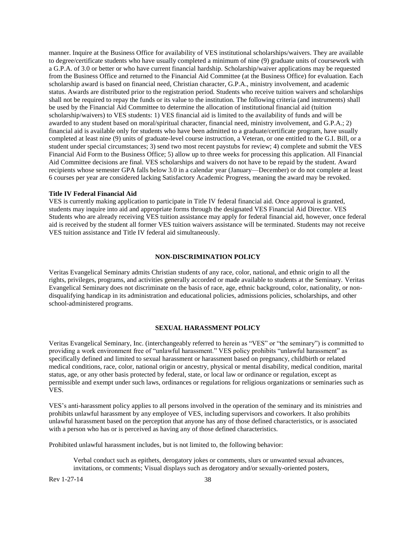manner. Inquire at the Business Office for availability of VES institutional scholarships/waivers. They are available to degree/certificate students who have usually completed a minimum of nine (9) graduate units of coursework with a G.P.A. of 3.0 or better or who have current financial hardship. Scholarship/waiver applications may be requested from the Business Office and returned to the Financial Aid Committee (at the Business Office) for evaluation. Each scholarship award is based on financial need, Christian character, G.P.A., ministry involvement, and academic status. Awards are distributed prior to the registration period. Students who receive tuition waivers and scholarships shall not be required to repay the funds or its value to the institution. The following criteria (and instruments) shall be used by the Financial Aid Committee to determine the allocation of institutional financial aid (tuition scholarship/waivers) to VES students: 1) VES financial aid is limited to the availability of funds and will be awarded to any student based on moral/spiritual character, financial need, ministry involvement, and G.P.A.; 2) financial aid is available only for students who have been admitted to a graduate/certificate program, have usually completed at least nine (9) units of graduate-level course instruction, a Veteran, or one entitled to the G.I. Bill, or a student under special circumstances; 3) send two most recent paystubs for review; 4) complete and submit the VES Financial Aid Form to the Business Office; 5) allow up to three weeks for processing this application. All Financial Aid Committee decisions are final. VES scholarships and waivers do not have to be repaid by the student. Award recipients whose semester GPA falls below 3.0 in a calendar year (January—December) or do not complete at least 6 courses per year are considered lacking Satisfactory Academic Progress, meaning the award may be revoked.

#### **Title IV Federal Financial Aid**

VES is currently making application to participate in Title IV federal financial aid. Once approval is granted, students may inquire into aid and appropriate forms through the designated VES Financial Aid Director. VES Students who are already receiving VES tuition assistance may apply for federal financial aid, however, once federal aid is received by the student all former VES tuition waivers assistance will be terminated. Students may not receive VES tuition assistance and Title IV federal aid simultaneously.

#### **NON-DISCRIMINATION POLICY**

Veritas Evangelical Seminary admits Christian students of any race, color, national, and ethnic origin to all the rights, privileges, programs, and activities generally accorded or made available to students at the Seminary. Veritas Evangelical Seminary does not discriminate on the basis of race, age, ethnic background, color, nationality, or nondisqualifying handicap in its administration and educational policies, admissions policies, scholarships, and other school-administered programs.

#### **SEXUAL HARASSMENT POLICY**

<span id="page-37-0"></span>Veritas Evangelical Seminary, Inc. (interchangeably referred to herein as "VES" or "the seminary") is committed to providing a work environment free of "unlawful harassment." VES policy prohibits "unlawful harassment" as specifically defined and limited to sexual harassment or harassment based on pregnancy, childbirth or related medical conditions, race, color, national origin or ancestry, physical or mental disability, medical condition, marital status, age, or any other basis protected by federal, state, or local law or ordinance or regulation, except as permissible and exempt under such laws, ordinances or regulations for religious organizations or seminaries such as VES.

VES's anti-harassment policy applies to all persons involved in the operation of the seminary and its ministries and prohibits unlawful harassment by any employee of VES, including supervisors and coworkers. It also prohibits unlawful harassment based on the perception that anyone has any of those defined characteristics, or is associated with a person who has or is perceived as having any of those defined characteristics.

Prohibited unlawful harassment includes, but is not limited to, the following behavior:

Verbal conduct such as epithets, derogatory jokes or comments, slurs or unwanted sexual advances, invitations, or comments; Visual displays such as derogatory and/or sexually-oriented posters,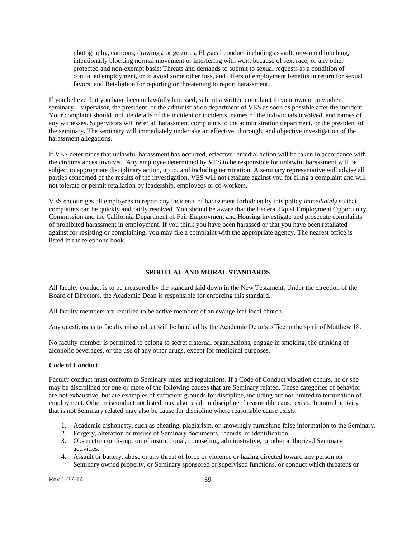photography, cartoons, drawings, or gestures; Physical conduct including assault, unwanted touching, intentionally blocking normal movement or interfering with work because of sex, race, or any other protected and non-exempt basis; Threats and demands to submit to sexual requests as a condition of continued employment, or to avoid some other loss, and offers of employment benefits in return for sexual favors; and Retaliation for reporting or threatening to report harassment.

If you believe that you have been unlawfully harassed, submit a written complaint to your own or any other seminary supervisor, the president, or the administration department of VES as soon as possible after the incident. Your complaint should include details of the incident or incidents, names of the individuals involved, and names of any witnesses. Supervisors will refer all harassment complaints to the administration department, or the president of the seminary. The seminary will immediately undertake an effective, thorough, and objective investigation of the harassment allegations.

If VES determines that unlawful harassment has occurred, effective remedial action will be taken in accordance with the circumstances involved. Any employee determined by VES to be responsible for unlawful harassment will be subject to appropriate disciplinary action, up to, and including termination. A seminary representative will advise all parties concerned of the results of the investigation. VES will not retaliate against you for filing a complaint and will not tolerate or permit retaliation by leadership, employees or co-workers.

VES encourages all employees to report any incidents of harassment forbidden by this policy *immediately* so that complaints can be quickly and fairly resolved. You should be aware that the Federal Equal Employment Opportunity Commission and the California Department of Fair Employment and Housing investigate and prosecute complaints of prohibited harassment in employment. If you think you have been harassed or that you have been retaliated against for resisting or complaining, you may file a complaint with the appropriate agency. The nearest office is listed in the telephone book.

#### <span id="page-38-0"></span>**SPIRITUAL AND MORAL STANDARDS**

All faculty conduct is to be measured by the standard laid down in the New Testament. Under the direction of the Board of Directors, the Academic Dean is responsible for enforcing this standard.

All faculty members are required to be active members of an evangelical local church.

Any questions as to faculty misconduct will be handled by the Academic Dean's office in the spirit of Matthew 18.

No faculty member is permitted to belong to secret fraternal organizations, engage in smoking, the drinking of alcoholic beverages, or the use of any other drugs, except for medicinal purposes.

#### <span id="page-38-1"></span>**Code of Conduct**

Faculty conduct must conform to Seminary rules and regulations. If a Code of Conduct violation occurs, he or she may be disciplined for one or more of the following causes that are Seminary related. These categories of behavior are not exhaustive, but are examples of sufficient grounds for discipline, including but not limited to termination of employment. Other misconduct not listed may also result in discipline if reasonable cause exists. Immoral activity that is not Seminary related may also be cause for discipline where reasonable cause exists.

- 1. Academic dishonesty, such as cheating, plagiarism, or knowingly furnishing false information to the Seminary.
- 2. Forgery, alteration or misuse of Seminary documents, records, or identification.
- 3. Obstruction or disruption of instructional, counseling, administrative, or other authorized Seminary activities.
- 4. Assault or battery, abuse or any threat of force or violence or hazing directed toward any person on Seminary owned property, or Seminary sponsored or supervised functions, or conduct which threatens or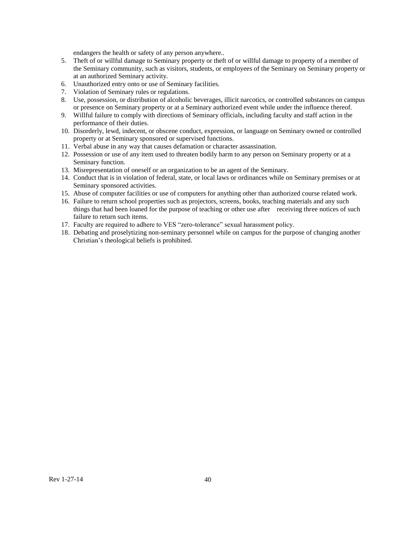endangers the health or safety of any person anywhere..

- 5. Theft of or willful damage to Seminary property or theft of or willful damage to property of a member of the Seminary community, such as visitors, students, or employees of the Seminary on Seminary property or at an authorized Seminary activity.
- 6. Unauthorized entry onto or use of Seminary facilities.
- 7. Violation of Seminary rules or regulations.
- 8. Use, possession, or distribution of alcoholic beverages, illicit narcotics, or controlled substances on campus or presence on Seminary property or at a Seminary authorized event while under the influence thereof.
- 9. Willful failure to comply with directions of Seminary officials, including faculty and staff action in the performance of their duties.
- 10. Disorderly, lewd, indecent, or obscene conduct, expression, or language on Seminary owned or controlled property or at Seminary sponsored or supervised functions.
- 11. Verbal abuse in any way that causes defamation or character assassination.
- 12. Possession or use of any item used to threaten bodily harm to any person on Seminary property or at a Seminary function.
- 13. Misrepresentation of oneself or an organization to be an agent of the Seminary.
- 14. Conduct that is in violation of federal, state, or local laws or ordinances while on Seminary premises or at Seminary sponsored activities.
- 15. Abuse of computer facilities or use of computers for anything other than authorized course related work.
- 16. Failure to return school properties such as projectors, screens, books, teaching materials and any such things that had been loaned for the purpose of teaching or other use after receiving three notices of such failure to return such items.
- 17. Faculty are required to adhere to VES "zero-tolerance" sexual harassment policy.
- 18. Debating and proselytizing non-seminary personnel while on campus for the purpose of changing another Christian's theological beliefs is prohibited.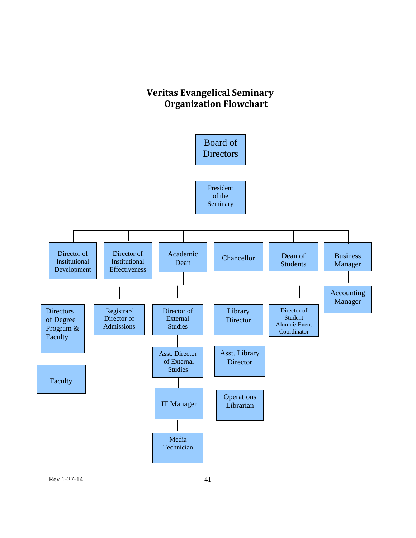## **Veritas Evangelical Seminary Organization Flowchart**

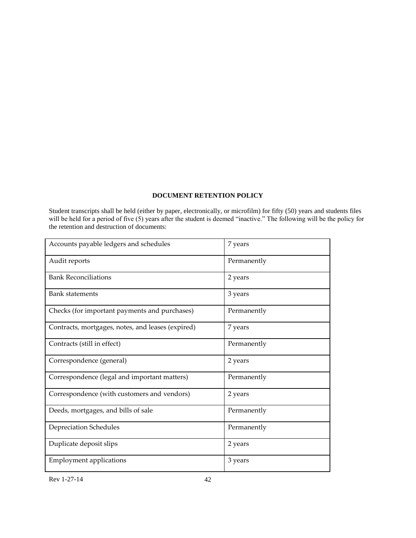## **DOCUMENT RETENTION POLICY**

<span id="page-41-0"></span>Student transcripts shall be held (either by paper, electronically, or microfilm) for fifty (50) years and students files will be held for a period of five (5) years after the student is deemed "inactive." The following will be the policy for the retention and destruction of documents:

| Accounts payable ledgers and schedules            | 7 years     |
|---------------------------------------------------|-------------|
| Audit reports                                     | Permanently |
| <b>Bank Reconciliations</b>                       | 2 years     |
| <b>Bank statements</b>                            | 3 years     |
| Checks (for important payments and purchases)     | Permanently |
| Contracts, mortgages, notes, and leases (expired) | 7 years     |
| Contracts (still in effect)                       | Permanently |
| Correspondence (general)                          | 2 years     |
|                                                   |             |
| Correspondence (legal and important matters)      | Permanently |
| Correspondence (with customers and vendors)       | 2 years     |
| Deeds, mortgages, and bills of sale               | Permanently |
| Depreciation Schedules                            | Permanently |
| Duplicate deposit slips                           | 2 years     |